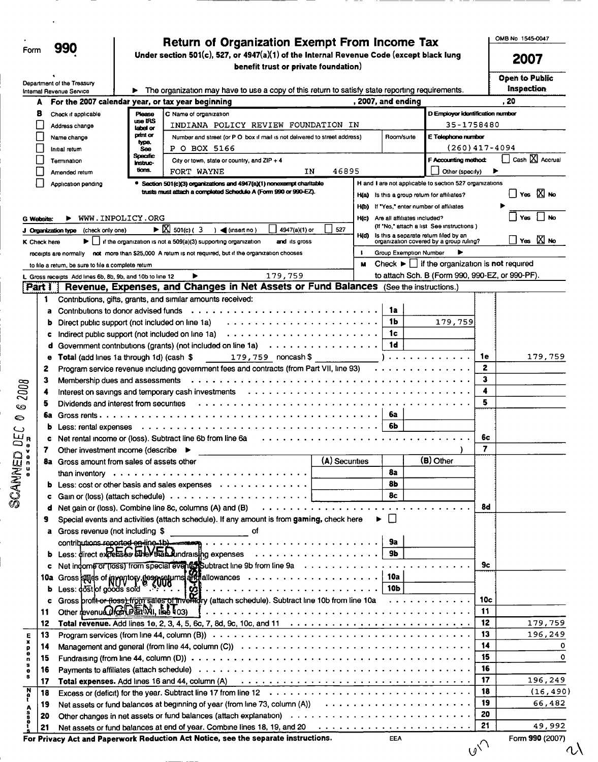| ⊩orm | 990 |
|------|-----|
|      |     |

9)

# Return of Organization Exempt From Income Tax  $\frac{\text{OMB No }1545-0047}{\text{OMB No }1545-0047}$

 $\mathcal{P}$  Under section 501(c), 527, or 4947(a)(1) of the Internal Revenue Code (except black lung 2007 benefit trust or private foundation)

 $\Lambda$ 

|              |              | Department of the Treasury<br>Internal Revenue Service                                                            |                           | The organization may have to use a copy of this return to satisfy state reporting requirements.                                                                                                                                |                      |      |                              |                                                                   |     | <b>Open to Public</b><br>inspection |
|--------------|--------------|-------------------------------------------------------------------------------------------------------------------|---------------------------|--------------------------------------------------------------------------------------------------------------------------------------------------------------------------------------------------------------------------------|----------------------|------|------------------------------|-------------------------------------------------------------------|-----|-------------------------------------|
|              | А            |                                                                                                                   |                           | For the 2007 calendar year, or tax year beginning                                                                                                                                                                              |                      |      | , 2007, and ending           |                                                                   |     | . 20                                |
|              | 8            | Check if applicable                                                                                               | Please                    | C Name of organization                                                                                                                                                                                                         |                      |      |                              | D Employer identification number                                  |     |                                     |
|              |              | Address change                                                                                                    | use IRS<br>label or       | INDIANA POLICY REVIEW FOUNDATION IN                                                                                                                                                                                            |                      |      |                              | 35-1758480                                                        |     |                                     |
|              |              | Name change                                                                                                       | print or                  | Number and street (or P O box if mail is not delivered to street address)                                                                                                                                                      |                      |      | Room/suite                   | E Telephone number                                                |     |                                     |
|              |              | Initial return                                                                                                    | type.<br>See              | P O BOX 5166                                                                                                                                                                                                                   |                      |      |                              | (260)417-4094                                                     |     |                                     |
|              |              | Termination                                                                                                       | Specific                  | City or town, state or country, and $ZIP + 4$                                                                                                                                                                                  |                      |      |                              | F Accounting method:                                              |     | Cash $X$ Accrual                    |
|              |              | Amended return                                                                                                    | <b>Instruc-</b><br>tions. | FORT WAYNE                                                                                                                                                                                                                     | 46895<br>IN          |      |                              | Other (specify)                                                   |     |                                     |
|              |              | Application pending                                                                                               |                           | <sup>®</sup> Section 501(c)(3) organizations and 4947(a)(1) nonexempt charitable                                                                                                                                               |                      |      |                              | H and I are not applicable to section 527 organizations           |     |                                     |
|              |              |                                                                                                                   |                           | trusts must attach a completed Schedule A (Form 990 or 990-EZ).                                                                                                                                                                |                      |      |                              | H(a) Is this a group return for affiliates?                       |     | □ Yes 区 No                          |
|              |              |                                                                                                                   |                           |                                                                                                                                                                                                                                |                      | H(b) |                              | If "Yes," enter number of affiliates                              |     |                                     |
|              |              |                                                                                                                   |                           |                                                                                                                                                                                                                                |                      |      |                              |                                                                   |     | Yes<br><b>No</b>                    |
|              | G Website:   |                                                                                                                   | WWW.INPOLICY.ORG          |                                                                                                                                                                                                                                |                      | H(c) | Are all affiliates included? | (If "No," attach a list See instructions)                         |     |                                     |
|              |              | (check only one)<br>J Organization type                                                                           |                           | $\triangleright$ $\boxtimes$ 501(c) (3<br>$)$ (insert no)                                                                                                                                                                      | 527<br>4947(a)(1) or | H(d) |                              | Is this a separate return filed by an                             |     | Yes $\boxed{\times}$ No             |
|              | K Check here |                                                                                                                   |                           | $\blacktriangleright \bigsqcup$ if the organization is not a 509(a)(3) supporting organization                                                                                                                                 | and its gross        |      |                              | organization covered by a group ruling?                           |     |                                     |
|              |              |                                                                                                                   |                           | receipts are normally not more than \$25,000. A return is not required, but if the organization chooses                                                                                                                        |                      | в.   | Group Exemption Number       |                                                                   |     |                                     |
|              |              | to file a return, be sure to file a complete return                                                               |                           |                                                                                                                                                                                                                                |                      | м    |                              | Check $\blacktriangleright$   if the organization is not required |     |                                     |
|              |              | L Gross receipts Add lines 6b, 8b, 9b, and 10b to line 12                                                         |                           | 179,759<br>▶                                                                                                                                                                                                                   |                      |      |                              | to attach Sch. B (Form 990, 990-EZ, or 990-PF).                   |     |                                     |
|              | Part I       |                                                                                                                   |                           | Revenue, Expenses, and Changes in Net Assets or Fund Balances (See the instructions.)                                                                                                                                          |                      |      |                              |                                                                   |     |                                     |
|              | 1            |                                                                                                                   |                           | Contributions, gifts, grants, and similar amounts received:                                                                                                                                                                    |                      |      |                              |                                                                   |     |                                     |
|              | a            | Contributions to donor advised funds                                                                              |                           |                                                                                                                                                                                                                                |                      |      | 1a                           |                                                                   |     |                                     |
|              | D            | Direct public support (not included on line 1a)                                                                   |                           |                                                                                                                                                                                                                                |                      |      | 1b                           | 179,759                                                           |     |                                     |
|              | c            | Indirect public support (not included on line 1a)                                                                 |                           | . <b>.</b>                                                                                                                                                                                                                     |                      |      | 1c                           |                                                                   |     |                                     |
|              | d            |                                                                                                                   |                           | Government contributions (grants) (not included on line 1a)                                                                                                                                                                    |                      |      | 1d                           |                                                                   |     |                                     |
|              | е            | Total (add lines 1a through 1d) (cash \$                                                                          |                           | $179,759$ noncash \$                                                                                                                                                                                                           |                      |      |                              | 1                                                                 | 1e  | 179,759                             |
|              | 2            | Program service revenue including government fees and contracts (from Part VII, line 93)                          |                           |                                                                                                                                                                                                                                |                      |      |                              |                                                                   | 2   |                                     |
|              | з            | Membership dues and assessments                                                                                   |                           |                                                                                                                                                                                                                                |                      |      |                              |                                                                   | 3   |                                     |
| 2008         | 4            |                                                                                                                   |                           | Interest on savings and temporary cash investments for and contained and contained on savings and temporary cash                                                                                                               |                      |      |                              |                                                                   | 4   |                                     |
|              | 5            | Dividends and interest from securities                                                                            |                           |                                                                                                                                                                                                                                |                      |      |                              |                                                                   | 5   |                                     |
| ଓ            | 6a           | Gross rents $\cdots$ $\cdots$                                                                                     |                           |                                                                                                                                                                                                                                |                      |      | 6a                           |                                                                   |     |                                     |
| 0<br>رے      | Þ            |                                                                                                                   |                           |                                                                                                                                                                                                                                |                      |      | 6b                           |                                                                   |     |                                     |
| ШR           | c            |                                                                                                                   | 6c                        |                                                                                                                                                                                                                                |                      |      |                              |                                                                   |     |                                     |
| $\mathbf{D}$ | 7            | Net rental income or (loss). Subtract line 6b from line 6a<br>. <i>.</i> .<br>Other investment income (describe ▶ |                           |                                                                                                                                                                                                                                |                      |      |                              |                                                                   | 7   |                                     |
| OBNANCO      |              | <b>8a</b> Gross amount from sales of assets other                                                                 |                           |                                                                                                                                                                                                                                | (A) Securities       |      |                              | (B) Other                                                         |     |                                     |
|              |              |                                                                                                                   |                           |                                                                                                                                                                                                                                |                      |      | 8a                           |                                                                   |     |                                     |
|              |              |                                                                                                                   |                           |                                                                                                                                                                                                                                |                      |      | 8Ь                           |                                                                   |     |                                     |
|              |              |                                                                                                                   |                           | Less: cost or other basis and sales expenses $\cdots \cdots \cdots \cdots$                                                                                                                                                     |                      |      | 8c                           |                                                                   |     |                                     |
|              |              |                                                                                                                   |                           |                                                                                                                                                                                                                                |                      |      |                              |                                                                   | 8d  |                                     |
|              |              |                                                                                                                   |                           | Net gain or (loss). Combine line 8c, columns (A) and (B)                                                                                                                                                                       |                      |      |                              |                                                                   |     |                                     |
|              | 9            |                                                                                                                   |                           | Special events and activities (attach schedule). If any amount is from gaming, check here                                                                                                                                      |                      |      | $\Box$<br>►                  |                                                                   |     |                                     |
|              |              | a Gross revenue (not including \$                                                                                 |                           | оf<br><u> 1990 - Jan James James</u>                                                                                                                                                                                           |                      |      |                              |                                                                   |     |                                     |
|              |              |                                                                                                                   |                           |                                                                                                                                                                                                                                |                      |      | 9a                           |                                                                   |     |                                     |
|              | b            |                                                                                                                   |                           | Less: direct expenses strict that the direct material individuals in geometric way are a series when the series was directed as a series of the series of the series of the series of the series of the series of the series o |                      |      | 9Ь                           |                                                                   |     |                                     |
|              | c            |                                                                                                                   |                           | Net income or (loss) from special events bubtract line 9b from line 9a                                                                                                                                                         |                      |      |                              |                                                                   | 9c  |                                     |
|              | 10a          |                                                                                                                   |                           | Gross sales of inventory, the series of the series of the series of the series of the series of the series of the series of the series of the Stevenson Construction of the Stevenson Construction of the Stevenson of the Ste |                      |      |                              |                                                                   |     |                                     |
|              | b            |                                                                                                                   |                           |                                                                                                                                                                                                                                |                      |      |                              |                                                                   |     |                                     |
|              |              |                                                                                                                   |                           |                                                                                                                                                                                                                                |                      |      |                              |                                                                   | 10c |                                     |
|              | 11           | Other revenue Of The MI, line 103)                                                                                |                           |                                                                                                                                                                                                                                |                      |      |                              |                                                                   | 11  |                                     |
|              | 12           |                                                                                                                   |                           |                                                                                                                                                                                                                                |                      |      |                              |                                                                   | 12  | 179,759                             |
| Е            | 13           |                                                                                                                   |                           |                                                                                                                                                                                                                                |                      |      |                              |                                                                   | 13  | 196,249                             |
| x<br>p       | 14           |                                                                                                                   |                           |                                                                                                                                                                                                                                |                      |      |                              |                                                                   | 14  | 0                                   |
| Θ            | 15           |                                                                                                                   |                           |                                                                                                                                                                                                                                |                      |      |                              |                                                                   | 15  | $\circ$                             |
|              | 16           |                                                                                                                   |                           |                                                                                                                                                                                                                                |                      |      |                              |                                                                   | 16  |                                     |
|              | 17           |                                                                                                                   |                           | Total expenses. Add lines 16 and 44, column (A) and account of the state of the state of the state of the state of the state of the state of the state of the state of the state of the state of the state of the state of the |                      |      |                              |                                                                   | 17  | 196,249                             |
| N<br>P<br>T  | 18           |                                                                                                                   |                           |                                                                                                                                                                                                                                |                      |      |                              |                                                                   | 18  | (16, 490)                           |
|              | 19           |                                                                                                                   |                           | Net assets or fund balances at beginning of year (from line 73, column (A))                                                                                                                                                    |                      |      |                              |                                                                   | 19  | 66,482                              |
| ŝ            | 20           |                                                                                                                   |                           |                                                                                                                                                                                                                                |                      |      |                              |                                                                   | 20  |                                     |
|              | 21           |                                                                                                                   |                           |                                                                                                                                                                                                                                |                      |      |                              |                                                                   | 21  | 49,992                              |
|              |              |                                                                                                                   |                           |                                                                                                                                                                                                                                |                      |      |                              |                                                                   |     |                                     |

For Privacy Act and Paperwork Reduction Act Notice, see the separate instructions. EEA Form 990 (2007)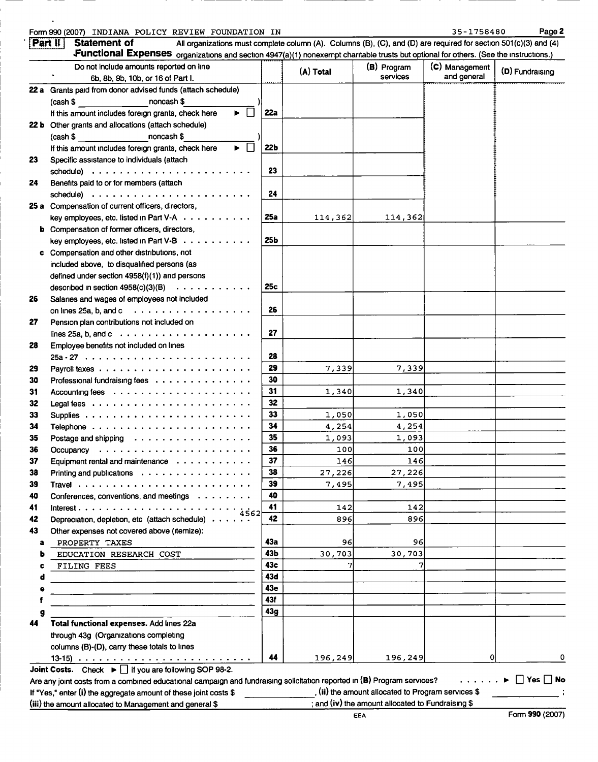#### Form990 ( 2007) INDIANA POLICY REVIEW FOUNDATION IN 35-1758480 Paget

|    | Functional Expenses organizations and section 4947(a)(1) nonexempt charitable trusts but optional for others. (See the instructions.)<br>Do not include amounts reported on line<br>6b, 8b, 9b, 10b, or 16 of Part I. |                 | (A) Total | (B) Program<br>services | (C) Management<br>and general | (D) Fundraising |
|----|-----------------------------------------------------------------------------------------------------------------------------------------------------------------------------------------------------------------------|-----------------|-----------|-------------------------|-------------------------------|-----------------|
|    | 22 a Grants paid from donor advised funds (attach schedule)                                                                                                                                                           |                 |           |                         |                               |                 |
|    |                                                                                                                                                                                                                       |                 |           |                         |                               |                 |
|    | $(cash $$ $on cash $$<br>$\Box$<br>If this amount includes foreign grants, check here                                                                                                                                 | 22a             |           |                         |                               |                 |
|    |                                                                                                                                                                                                                       |                 |           |                         |                               |                 |
|    | 22 b Other grants and allocations (attach schedule)                                                                                                                                                                   |                 |           |                         |                               |                 |
|    | $(cash $$ noncash \$<br>$\Box$<br>If this amount includes foreign grants, check here<br>ы                                                                                                                             | 22 <sub>b</sub> |           |                         |                               |                 |
| 23 | Specific assistance to individuals (attach                                                                                                                                                                            |                 |           |                         |                               |                 |
|    |                                                                                                                                                                                                                       | 23              |           |                         |                               |                 |
| 24 | Benefits paid to or for members (attach                                                                                                                                                                               |                 |           |                         |                               |                 |
|    |                                                                                                                                                                                                                       | 24              |           |                         |                               |                 |
|    | 25 a Compensation of current officers, directors,                                                                                                                                                                     |                 |           |                         |                               |                 |
|    | key employees, etc. listed in Part V-A                                                                                                                                                                                | 25a             | 114,362   | 114,362                 |                               |                 |
|    | <b>b</b> Compensation of former officers, directors,                                                                                                                                                                  |                 |           |                         |                               |                 |
|    | key employees, etc. listed in Part V-B                                                                                                                                                                                | 25Ь             |           |                         |                               |                 |
|    | c Compensation and other distributions, not                                                                                                                                                                           |                 |           |                         |                               |                 |
|    | included above, to disqualified persons (as                                                                                                                                                                           |                 |           |                         |                               |                 |
|    | defined under section 4958(f)(1)) and persons                                                                                                                                                                         |                 |           |                         |                               |                 |
|    | described in section $4958(c)(3)(B) \cdot \cdot \cdot \cdot \cdot \cdot \cdot \cdot \cdot \cdot$                                                                                                                      | 25c             |           |                         |                               |                 |
| 26 | Salaries and wages of employees not included                                                                                                                                                                          |                 |           |                         |                               |                 |
|    | on lines 25a, b, and c $\ldots$                                                                                                                                                                                       | 26              |           |                         |                               |                 |
| 27 | Pension plan contributions not included on                                                                                                                                                                            |                 |           |                         |                               |                 |
|    | lines 25a, b, and $c \ldots$                                                                                                                                                                                          | 27              |           |                         |                               |                 |
| 28 | Employee benefits not included on lines                                                                                                                                                                               |                 |           |                         |                               |                 |
|    |                                                                                                                                                                                                                       | 28              |           |                         |                               |                 |
| 29 |                                                                                                                                                                                                                       | 29              | 7,339     | 7,339                   |                               |                 |
| 30 | Professional fundraising fees                                                                                                                                                                                         | 30              |           |                         |                               |                 |
| 31 |                                                                                                                                                                                                                       | 31              | 1,340     | 1,340                   |                               |                 |
| 32 |                                                                                                                                                                                                                       | 32              |           |                         |                               |                 |
| 33 |                                                                                                                                                                                                                       | 33              | 1,050     | 1,050                   |                               |                 |
| 34 |                                                                                                                                                                                                                       | 34              | 4,254     | 4,254                   |                               |                 |
| 35 | Postage and shipping                                                                                                                                                                                                  | 35              | 1,093     | 1,093                   |                               |                 |
| 36 |                                                                                                                                                                                                                       | 36              | 100       | 100                     |                               |                 |
| 37 | Equipment rental and maintenance                                                                                                                                                                                      | 37              | 146       | 146                     |                               |                 |
| 38 | Printing and publications $\cdots$ , $\cdots$ , $\cdots$ , $\cdots$ , $\cdots$ , $\cdots$                                                                                                                             | 38              | 27,226    | 27.2261                 |                               |                 |
| 39 |                                                                                                                                                                                                                       | 39              | 7,495     | 7,495                   |                               |                 |
| 40 | Conferences, conventions, and meetings                                                                                                                                                                                | 40              |           |                         |                               |                 |
| 41 |                                                                                                                                                                                                                       | 41              | 142       | 142                     |                               |                 |
| 42 | 4562<br>Depreciation, depletion, etc (attach schedule).                                                                                                                                                               | 42              | 896       | 896                     |                               |                 |
| 43 | Other expenses not covered above (itemize):                                                                                                                                                                           |                 |           |                         |                               |                 |
| a  | PROPERTY TAXES                                                                                                                                                                                                        | 43a             | 96        | 96                      |                               |                 |
|    | EDUCATION RESEARCH COST                                                                                                                                                                                               | 43b             | 30,703    | 30,703                  |                               |                 |
|    | FILING FEES                                                                                                                                                                                                           | 43с             |           |                         |                               |                 |
|    |                                                                                                                                                                                                                       | 43d             |           |                         |                               |                 |
|    |                                                                                                                                                                                                                       | 43e             |           |                         |                               |                 |
|    |                                                                                                                                                                                                                       | 43f             |           |                         |                               |                 |
|    |                                                                                                                                                                                                                       | 43g             |           |                         |                               |                 |
| 44 | Total functional expenses. Add lines 22a                                                                                                                                                                              |                 |           |                         |                               |                 |
|    | through 43g (Organizations completing                                                                                                                                                                                 |                 |           |                         |                               |                 |
|    | columns (B)-(D), carry these totals to lines                                                                                                                                                                          |                 |           |                         |                               |                 |
|    |                                                                                                                                                                                                                       | 44              | 196,249   | 196, 249                | 0                             |                 |
|    | Joint Costs. Check $\blacktriangleright$   if you are following SOP 98-2.                                                                                                                                             |                 |           |                         |                               |                 |

(iii) the amount allocated to Management and general \$ <br>EEA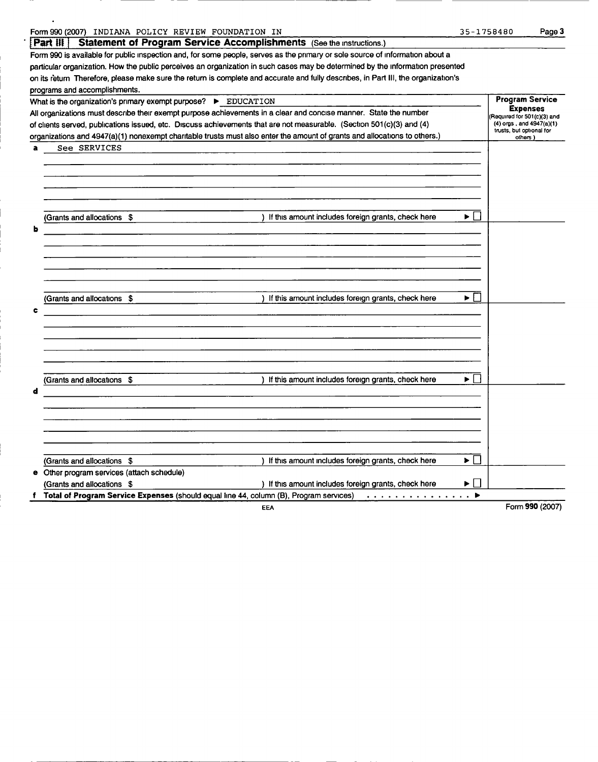|   | Form 990 (2007) INDIANA POLICY REVIEW FOUNDATION IN                                                                                | 35-1758480 |                                                      | Page 3          |
|---|------------------------------------------------------------------------------------------------------------------------------------|------------|------------------------------------------------------|-----------------|
|   | Statement of Program Service Accomplishments (See the instructions.)<br>FPart III                                                  |            |                                                      |                 |
|   | Form 990 is available for public inspection and, for some people, serves as the primary or sole source of information about a      |            |                                                      |                 |
|   | particular organization. How the public perceives an organization in such cases may be determined by the information presented     |            |                                                      |                 |
|   | on its return Therefore, please make sure the return is complete and accurate and fully describes, in Part III, the organization's |            |                                                      |                 |
|   | programs and accomplishments.                                                                                                      |            |                                                      |                 |
|   | What is the organization's primary exempt purpose? > EDUCATION                                                                     |            | <b>Program Service</b>                               |                 |
|   | All organizations must describe their exempt purpose achievements in a clear and concise manner. State the number                  |            | <b>Expenses</b><br>Required for 501(c)(3) and        |                 |
|   | of clients served, publications issued, etc. Discuss achievements that are not measurable. (Section 501(c)(3) and (4)              |            | (4) orgs, and 4947(a)(1)<br>trusts, but optional for |                 |
|   | organizations and 4947(a)(1) nonexempt charitable trusts must also enter the amount of grants and allocations to others.)          |            | others )                                             |                 |
| a | See SERVICES                                                                                                                       |            |                                                      |                 |
|   |                                                                                                                                    |            |                                                      |                 |
|   |                                                                                                                                    |            |                                                      |                 |
|   |                                                                                                                                    |            |                                                      |                 |
|   |                                                                                                                                    |            |                                                      |                 |
|   |                                                                                                                                    |            |                                                      |                 |
|   | (Grants and allocations \$<br>) If this amount includes foreign grants, check here                                                 | ▶ │ │      |                                                      |                 |
|   |                                                                                                                                    |            |                                                      |                 |
|   |                                                                                                                                    |            |                                                      |                 |
|   |                                                                                                                                    |            |                                                      |                 |
|   |                                                                                                                                    |            |                                                      |                 |
|   |                                                                                                                                    |            |                                                      |                 |
|   |                                                                                                                                    |            |                                                      |                 |
|   | (Grants and allocations \$<br>) If this amount includes foreign grants, check here                                                 | ▶ │ │      |                                                      |                 |
| c |                                                                                                                                    |            |                                                      |                 |
|   |                                                                                                                                    |            |                                                      |                 |
|   |                                                                                                                                    |            |                                                      |                 |
|   |                                                                                                                                    |            |                                                      |                 |
|   |                                                                                                                                    |            |                                                      |                 |
|   |                                                                                                                                    |            |                                                      |                 |
|   | (Grants and allocations \$<br>) If this amount includes foreign grants, check here                                                 | ▶ │        |                                                      |                 |
| d |                                                                                                                                    |            |                                                      |                 |
|   |                                                                                                                                    |            |                                                      |                 |
|   |                                                                                                                                    |            |                                                      |                 |
|   |                                                                                                                                    |            |                                                      |                 |
|   |                                                                                                                                    |            |                                                      |                 |
|   |                                                                                                                                    |            |                                                      |                 |
|   | If this amount includes foreign grants, check here<br>(Grants and allocations \$                                                   | ▶ │ │      |                                                      |                 |
|   | e Other program services (attach schedule)                                                                                         |            |                                                      |                 |
|   | (Grants and allocations \$<br>) If this amount includes foreign grants, check here                                                 | ▶          |                                                      |                 |
|   | f Total of Program Service Expenses (should equal line 44, column (B), Program services)<br>. <b>.</b>                             |            |                                                      |                 |
|   | EEA                                                                                                                                |            |                                                      | Form 990 (2007) |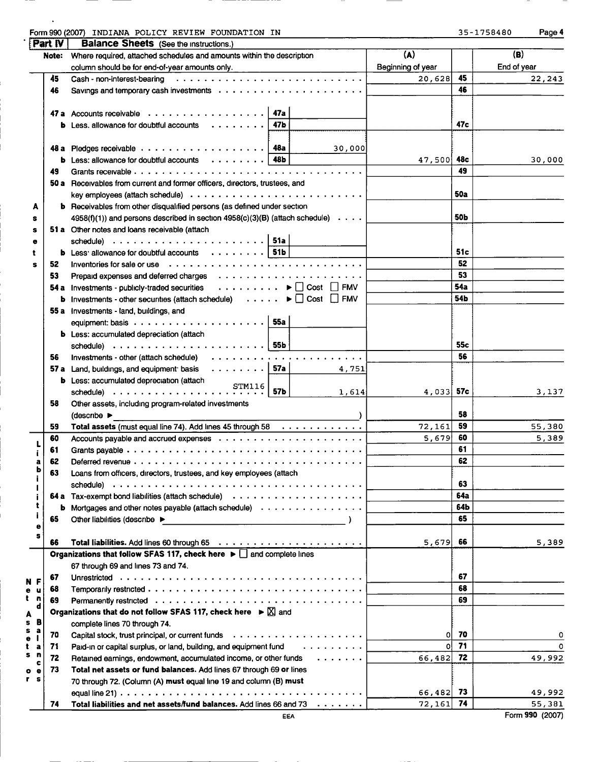| Form 990 (2007)<br>INDIANA<br>FOUNDATION IN<br>POLICY<br>REVIEW | 1758480<br>. | Page 4 |
|-----------------------------------------------------------------|--------------|--------|
| $"$ Dart $W$<br>Ralance Sheets<br>: /Soo the instructions )     |              |        |

 $\cdot$ 

| . .<br>ж |  |  | -1758480 |  |  |  |  |  |  |  |
|----------|--|--|----------|--|--|--|--|--|--|--|
|----------|--|--|----------|--|--|--|--|--|--|--|

|                         | i Lett ta<br>Note: | <b>DataINE SHEELS</b> (See the instructions.)<br>Where required, attached schedules and amounts within the description                                                                                                         | (A)               |            | (B)              |
|-------------------------|--------------------|--------------------------------------------------------------------------------------------------------------------------------------------------------------------------------------------------------------------------------|-------------------|------------|------------------|
|                         |                    | column should be for end-of-year amounts only.                                                                                                                                                                                 | Beginning of year |            | End of year      |
|                         | 45                 |                                                                                                                                                                                                                                | 20,628            | 45         | 22,243           |
|                         | 46                 |                                                                                                                                                                                                                                |                   | 46         |                  |
|                         |                    |                                                                                                                                                                                                                                |                   |            |                  |
|                         |                    | 47 a Accounts receivable $\ldots \ldots \ldots \ldots \ldots$                                                                                                                                                                  |                   |            |                  |
|                         |                    | <b>b</b> Less. allowance for doubtful accounts<br>47b                                                                                                                                                                          |                   | 47c        |                  |
|                         |                    |                                                                                                                                                                                                                                |                   |            |                  |
|                         |                    | 30,000                                                                                                                                                                                                                         |                   |            |                  |
|                         |                    | <b>b</b> Less: allowance for doubtful accounts $\ldots \ldots \ldots$   48b                                                                                                                                                    | 47,500 48c        |            | 30,000           |
|                         | 49                 |                                                                                                                                                                                                                                |                   | 49         |                  |
|                         |                    | 50 a Receivables from current and former officers, directors, trustees, and                                                                                                                                                    |                   |            |                  |
|                         |                    |                                                                                                                                                                                                                                |                   | <b>50a</b> |                  |
| A                       |                    | <b>b</b> Receivables from other disqualified persons (as defined under section                                                                                                                                                 |                   |            |                  |
| s                       |                    | $4958(f)(1)$ and persons described in section $4958(c)(3)(B)$ (attach schedule) $\cdots$                                                                                                                                       |                   | 50b        |                  |
| s                       |                    | 51 a Other notes and loans receivable (attach                                                                                                                                                                                  |                   |            |                  |
| e                       |                    | schedule) $\ldots \ldots \ldots \ldots \ldots \ldots \ldots$ 51a                                                                                                                                                               |                   |            |                  |
| t                       |                    | <b>b</b> Less allowance for doubtful accounts $\ldots \ldots \ldots$ 51b                                                                                                                                                       |                   | 51c        |                  |
| s                       | 52                 | Inventories for sale or use education of the contract of the contract of the contract of the contract of the contract of the contract of the contract of the contract of the contract of the contract of the contract of the c |                   | 52         |                  |
|                         | 53                 |                                                                                                                                                                                                                                |                   | 53         |                  |
|                         |                    | 54 a Investments - publicly-traded securities ▶ □ Cost □ FMV                                                                                                                                                                   |                   | 54a        |                  |
|                         |                    | <b>b</b> Investments - other securities (attach schedule) $\ldots \ldots \blacktriangleright \Box$ Cost $\Box$ FMV                                                                                                             |                   | 54b        |                  |
|                         |                    | 55 a Investments - land, buildings, and                                                                                                                                                                                        |                   |            |                  |
|                         |                    |                                                                                                                                                                                                                                |                   |            |                  |
|                         |                    | <b>b</b> Less: accumulated depreciation (attach                                                                                                                                                                                |                   |            |                  |
|                         |                    | schedule) $\ldots \ldots \ldots \ldots \ldots \ldots \ldots$ 55b                                                                                                                                                               |                   | 55c        |                  |
|                         | 56                 |                                                                                                                                                                                                                                |                   | 56         |                  |
|                         |                    | 57 a Land, buildings, and equipment basis $\ldots \ldots \ldots$ 57a<br>4,751                                                                                                                                                  |                   |            |                  |
|                         |                    | <b>b</b> Less: accumulated depreciation (attach                                                                                                                                                                                |                   |            |                  |
|                         |                    | STM116<br>57b<br>1,614                                                                                                                                                                                                         | $4,033$ 57c       |            | 3,137            |
|                         | 58                 | Other assets, including program-related investments                                                                                                                                                                            |                   |            |                  |
|                         |                    | (describe                                                                                                                                                                                                                      |                   | 58         |                  |
|                         | 59                 | Total assets (must equal line 74). Add lines 45 through 58                                                                                                                                                                     | 72,161            | 59         | 55,380           |
|                         | 60                 |                                                                                                                                                                                                                                | 5,679             | 60         | 5,389            |
|                         | 61                 |                                                                                                                                                                                                                                |                   | 61         |                  |
|                         |                    |                                                                                                                                                                                                                                |                   | 62         |                  |
| a<br>ь                  | 62                 |                                                                                                                                                                                                                                |                   |            |                  |
|                         | 63                 | Loans from officers, directors, trustees, and key employees (attach                                                                                                                                                            |                   | 63         |                  |
|                         |                    |                                                                                                                                                                                                                                |                   |            |                  |
| t                       |                    |                                                                                                                                                                                                                                |                   | 64a        |                  |
| j                       | b                  | Mortgages and other notes payable (attach schedule)                                                                                                                                                                            |                   | 64b        |                  |
| ۰                       | 65                 | Other liabilities (describe ▶                                                                                                                                                                                                  |                   | 65         |                  |
| s                       | 66                 |                                                                                                                                                                                                                                | 5,679             | 66         | 5,389            |
|                         |                    | Organizations that follow SFAS 117, check here $\blacktriangleright$ and complete lines                                                                                                                                        |                   |            |                  |
|                         |                    | 67 through 69 and lines 73 and 74.                                                                                                                                                                                             |                   |            |                  |
|                         | 67                 |                                                                                                                                                                                                                                |                   | 67         |                  |
| N F<br>е<br>u           | 68                 |                                                                                                                                                                                                                                |                   | 68         |                  |
| t<br>n                  | 69                 |                                                                                                                                                                                                                                |                   | 69         |                  |
| d                       |                    | Organizations that do not follow SFAS 117, check here $\blacktriangleright \boxtimes$ and                                                                                                                                      |                   |            |                  |
| A<br>в<br>s             |                    | complete lines 70 through 74.                                                                                                                                                                                                  |                   |            |                  |
| s<br>а                  | 70                 |                                                                                                                                                                                                                                | οI                | 70         | 0                |
| e<br>t<br>а             | 71                 | .<br>Paid-in or capital surplus, or land, building, and equipment fund                                                                                                                                                         | οI                | 71         | 0                |
| s<br>n                  | 72                 | Retained earnings, endowment, accumulated income, or other funds<br>$\begin{array}{cccccccccccccc} . & . & . & . & . & . & . \end{array}$                                                                                      | 66,482            | 72         | 49,992           |
| c                       | 73                 | Total net assets or fund balances. Add lines 67 through 69 or lines                                                                                                                                                            |                   |            |                  |
| ۰<br>٠<br>r<br><b>S</b> |                    |                                                                                                                                                                                                                                |                   |            |                  |
|                         |                    | 70 through 72. (Column (A) must equal line 19 and column (B) must                                                                                                                                                              | 66,482 73         |            |                  |
|                         | 74                 | Total liabilities and net assets/fund balances. Add lines 66 and 73                                                                                                                                                            | 72,161            | 74         | 49,992<br>55,381 |
|                         |                    | EEA                                                                                                                                                                                                                            |                   |            | Form 990 (2007)  |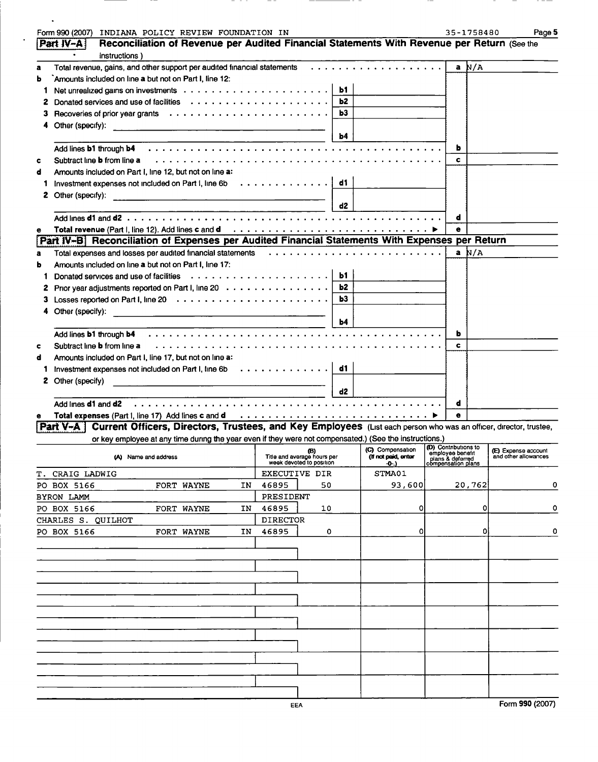|    | Form 990 (2007) INDIANA POLICY REVIEW FOUNDATION IN                                                                                                                                                                            |                                    |           |                                         |                                        | 35-1758480         | Page 5                                             |
|----|--------------------------------------------------------------------------------------------------------------------------------------------------------------------------------------------------------------------------------|------------------------------------|-----------|-----------------------------------------|----------------------------------------|--------------------|----------------------------------------------------|
|    | Reconciliation of Revenue per Audited Financial Statements With Revenue per Return (See the<br> Part IV-A                                                                                                                      |                                    |           |                                         |                                        |                    |                                                    |
|    | $\bullet$<br>instructions)                                                                                                                                                                                                     |                                    |           |                                         |                                        |                    |                                                    |
| a  | Total revenue, gains, and other support per audited financial statements $\cdots$ , $\cdots$ , $\cdots$ , $\cdots$ , $\cdots$                                                                                                  |                                    |           |                                         |                                        | $a \overline{N/A}$ |                                                    |
| b  | `Amounts included on line a but not on Part I, line 12:                                                                                                                                                                        |                                    |           |                                         |                                        |                    |                                                    |
| 1  |                                                                                                                                                                                                                                |                                    | <b>b1</b> |                                         |                                        |                    |                                                    |
| z  |                                                                                                                                                                                                                                |                                    | Ь2        |                                         |                                        |                    |                                                    |
| з  |                                                                                                                                                                                                                                |                                    | Ь3        |                                         |                                        |                    |                                                    |
|    | Other (specify):<br><u> 1989 - Johann Barn, mars et al. (b. 1989)</u>                                                                                                                                                          |                                    |           |                                         |                                        |                    |                                                    |
|    |                                                                                                                                                                                                                                |                                    | Ь4        |                                         |                                        |                    |                                                    |
|    | Add lines <b>b1</b> through <b>b4</b>                                                                                                                                                                                          |                                    |           |                                         | ь                                      |                    |                                                    |
| c  | Subtract line <b>b</b> from line a                                                                                                                                                                                             |                                    |           |                                         | c                                      |                    |                                                    |
| d  | Amounts included on Part I, line 12, but not on line a:                                                                                                                                                                        |                                    |           |                                         |                                        |                    |                                                    |
| 1  | Investment expenses not included on Part I, line $6b$                                                                                                                                                                          |                                    | d1        |                                         |                                        |                    |                                                    |
| z  | Other (specify):<br><u> 1989 - Johann Harry Barn, mars an t-Amerikaansk kommunister (</u>                                                                                                                                      |                                    |           |                                         |                                        |                    |                                                    |
|    | <u> 1990 - John Alexandri, matematik a</u>                                                                                                                                                                                     |                                    | d2        |                                         |                                        |                    |                                                    |
|    |                                                                                                                                                                                                                                |                                    |           |                                         | d                                      |                    |                                                    |
| е  |                                                                                                                                                                                                                                |                                    |           |                                         | ė                                      |                    |                                                    |
|    | Part IV-B Reconciliation of Expenses per Audited Financial Statements With Expenses per Return                                                                                                                                 |                                    |           |                                         |                                        |                    |                                                    |
| a  | Total expenses and losses per audited financial statements (all cases of contained a series and series and series of the financial statements (all cases of contained a series of the series of the series of the series of th |                                    |           |                                         |                                        | a $N/A$            |                                                    |
| ь  | Amounts included on line a but not on Part I, line 17:                                                                                                                                                                         |                                    |           |                                         |                                        |                    |                                                    |
| 1. | Donated services and use of facilities $\cdots \cdots \cdots \cdots \cdots$                                                                                                                                                    |                                    | ы.        |                                         |                                        |                    |                                                    |
| z  | Prior year adjustments reported on Part I, line 20                                                                                                                                                                             |                                    | <b>b2</b> |                                         |                                        |                    |                                                    |
| з  |                                                                                                                                                                                                                                |                                    | ь3        |                                         |                                        |                    |                                                    |
|    | Other (specify):<br><u> 1989 - Johann Harry Harry Harry Harry Harry Harry Harry Harry Harry Harry Harry Harry Harry Harry Harry Harry</u>                                                                                      |                                    |           |                                         |                                        |                    |                                                    |
|    |                                                                                                                                                                                                                                |                                    | Ь4        |                                         |                                        |                    |                                                    |
|    | Add lines <b>b1</b> through <b>b4</b>                                                                                                                                                                                          |                                    |           |                                         | ь                                      |                    |                                                    |
| c  | Subtract line <b>b</b> from line a                                                                                                                                                                                             |                                    |           |                                         | c                                      |                    |                                                    |
| d  | Amounts included on Part I, line 17, but not on line a:                                                                                                                                                                        |                                    |           |                                         |                                        |                    |                                                    |
| 1. | Investment expenses not included on Part I, line 6b                                                                                                                                                                            |                                    | d1        |                                         |                                        |                    |                                                    |
|    | 2 Other (specify)<br><u> 1989 - Johann Barbara, martin amerikan basal dan berasal dalam basal dalam basal dalam basal dalam basal dala</u>                                                                                     |                                    |           |                                         |                                        |                    |                                                    |
|    |                                                                                                                                                                                                                                |                                    | d2        |                                         |                                        |                    |                                                    |
|    | Add lines <b>d1</b> and <b>d2</b>                                                                                                                                                                                              |                                    |           |                                         | d                                      |                    |                                                    |
|    | Total expenses (Part I, line 17) Add lines c and d intervention of the set of the system of the system of the system of the system of the system of the system of the system of the system of the system of the system of the  |                                    |           |                                         | e                                      |                    |                                                    |
|    | Current Officers, Directors, Trustees, and Key Employees (List each person who was an officer, director, trustee,<br>Part V-A I                                                                                                |                                    |           |                                         |                                        |                    |                                                    |
|    | or key employee at any time during the year even if they were not compensated.) (See the instructions.)                                                                                                                        |                                    |           |                                         | (D) Contributions to                   |                    |                                                    |
|    | (A) Name and address                                                                                                                                                                                                           | (B)<br>Title and average hours per |           | (C) Compensation<br>(If not paid, enter | employee benefit                       |                    | <b>(E)</b> Expense account<br>and other allowances |
|    |                                                                                                                                                                                                                                | week devoted to position           |           | $-0$ -)                                 | plans & deferred<br>compensation plans |                    |                                                    |
|    | T. CRAIG LADWIG                                                                                                                                                                                                                | EXECUTIVE DIR                      |           | STMA01                                  |                                        |                    |                                                    |
|    | PO BOX 5166<br>FORT WAYNE<br>ΙN                                                                                                                                                                                                | 46895<br>50                        |           | 93,600                                  |                                        | 20,762             | 0                                                  |
|    | BYRON LAMM                                                                                                                                                                                                                     | PRESIDENT                          |           |                                         |                                        |                    |                                                    |
|    | PO BOX 5166<br>FORT WAYNE<br>ΙN                                                                                                                                                                                                | 46895<br>10                        |           | 01                                      |                                        | 0                  | 0                                                  |
|    | CHARLES S. QUILHOT                                                                                                                                                                                                             | DIRECTOR                           |           |                                         |                                        |                    |                                                    |
|    | PO BOX 5166<br>FORT WAYNE<br>IN                                                                                                                                                                                                | 46895<br>0                         |           | 01                                      |                                        | 01                 | 0                                                  |
|    |                                                                                                                                                                                                                                |                                    |           |                                         |                                        |                    |                                                    |
|    |                                                                                                                                                                                                                                |                                    |           |                                         |                                        |                    |                                                    |
|    |                                                                                                                                                                                                                                |                                    |           |                                         |                                        |                    |                                                    |
|    |                                                                                                                                                                                                                                |                                    |           |                                         |                                        |                    |                                                    |
|    |                                                                                                                                                                                                                                |                                    |           |                                         |                                        |                    |                                                    |
|    |                                                                                                                                                                                                                                |                                    |           |                                         |                                        |                    |                                                    |
|    |                                                                                                                                                                                                                                |                                    |           |                                         |                                        |                    |                                                    |
|    |                                                                                                                                                                                                                                |                                    |           |                                         |                                        |                    |                                                    |
|    |                                                                                                                                                                                                                                |                                    |           |                                         |                                        |                    |                                                    |
|    |                                                                                                                                                                                                                                |                                    |           |                                         |                                        |                    |                                                    |
|    |                                                                                                                                                                                                                                |                                    |           |                                         |                                        |                    |                                                    |
|    |                                                                                                                                                                                                                                |                                    |           |                                         |                                        |                    |                                                    |
|    |                                                                                                                                                                                                                                |                                    |           |                                         |                                        |                    |                                                    |
|    |                                                                                                                                                                                                                                |                                    |           |                                         |                                        |                    |                                                    |
|    |                                                                                                                                                                                                                                | <b>EEA</b>                         |           |                                         |                                        |                    | Form 990 (2007)                                    |

 $-$ 

 $\sim 10^{-11}$ 

 $\ddot{\phantom{a}}$ 

 $-$ 

 $-$ 

 $\sim$ 

 $\overline{\phantom{a}}$ 

 $- - -$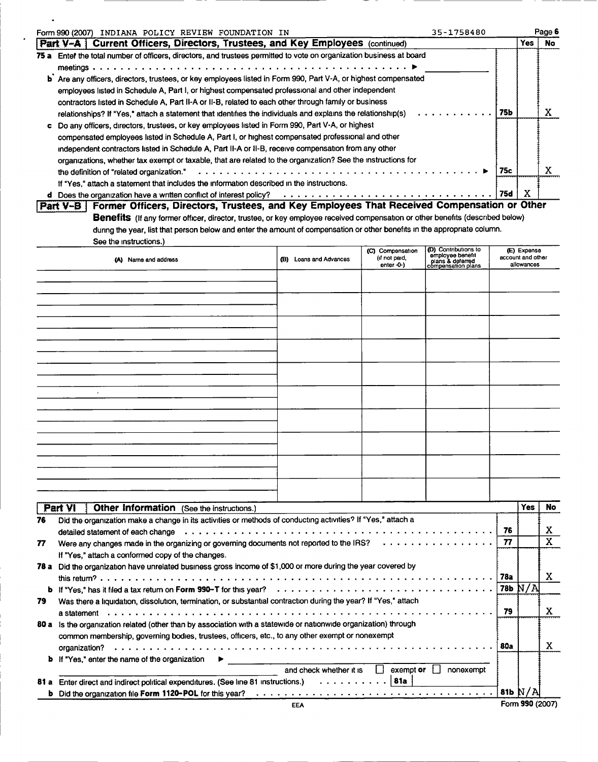|      | 35-1758480<br>Form 990 (2007) INDIANA POLICY REVIEW FOUNDATION IN                                                                                                                                                                                                                                                                                                                                                                                                         |     |      | Page 6 |
|------|---------------------------------------------------------------------------------------------------------------------------------------------------------------------------------------------------------------------------------------------------------------------------------------------------------------------------------------------------------------------------------------------------------------------------------------------------------------------------|-----|------|--------|
|      | Part V-A   Current Officers, Directors, Trustees, and Key Employees (continued)                                                                                                                                                                                                                                                                                                                                                                                           |     | Yes: | No     |
| 75 a | Enter the total number of officers, directors, and trustees permitted to vote on organization business at board                                                                                                                                                                                                                                                                                                                                                           |     |      |        |
|      | b Are any officers, directors, trustees, or key employees listed in Form 990, Part V-A, or highest compensated<br>employees listed in Schedule A, Part I, or highest compensated professional and other independent<br>contractors listed in Schedule A, Part II-A or II-B, related to each other through family or business<br>relationships? If "Yes," attach a statement that identifies the individuals and explains the relationship(s)                              | 75Ь |      | л      |
|      | Do any officers, directors, trustees, or key employees listed in Form 990, Part V-A, or highest<br>compensated employees listed in Schedule A, Part I, or highest compensated professional and other<br>independent contractors listed in Schedule A, Part II-A or II-B, receive compensation from any other<br>organizations, whether tax exempt or taxable, that are related to the organization? See the instructions for<br>the definition of "related organization." | 75с |      |        |
|      | If "Yes," attach a statement that includes the information described in the instructions.<br>d Does the organization have a written conflict of interest policy?                                                                                                                                                                                                                                                                                                          | 75d | x    |        |

 $\ddot{\phantom{a}}$ 

p

| Part V-B   Former Officers, Directors, Trustees, and Key Employees That Received Compensation or Other                               |
|--------------------------------------------------------------------------------------------------------------------------------------|
| <b>Benefits</b> (If any former officer, director, trustee, or key employee received compensation or other benefits (described below) |
| during the year, list that person below and enter the amount of compensation or other benefits in the appropriate column.            |
| See the instructions.)                                                                                                               |

| (A) Name and address | (B) Loans and Advances | (C) Compensation<br>(if not paid,<br>enter -0-) | (D) Contributions to<br>employee benefit<br>plans & deferred<br>compensation plans | (E) Expense<br>account and other<br>allowances |
|----------------------|------------------------|-------------------------------------------------|------------------------------------------------------------------------------------|------------------------------------------------|
|                      |                        |                                                 |                                                                                    |                                                |
|                      |                        |                                                 |                                                                                    |                                                |
|                      |                        |                                                 |                                                                                    |                                                |
|                      |                        |                                                 |                                                                                    |                                                |
|                      |                        |                                                 |                                                                                    |                                                |
|                      |                        |                                                 |                                                                                    |                                                |
|                      |                        |                                                 |                                                                                    |                                                |
|                      |                        |                                                 |                                                                                    |                                                |
|                      |                        |                                                 |                                                                                    |                                                |
|                      |                        |                                                 |                                                                                    |                                                |
| $\bullet$            |                        |                                                 |                                                                                    |                                                |
|                      |                        |                                                 |                                                                                    |                                                |
|                      |                        |                                                 |                                                                                    |                                                |
|                      |                        |                                                 |                                                                                    |                                                |
|                      |                        |                                                 |                                                                                    |                                                |
|                      |                        |                                                 |                                                                                    |                                                |
|                      |                        |                                                 |                                                                                    |                                                |
|                      |                        |                                                 |                                                                                    |                                                |
|                      |                        |                                                 |                                                                                    |                                                |
|                      |                        |                                                 |                                                                                    |                                                |

|      | <b>Other Information</b> (See the instructions.)<br>Part VI                                                                                                                                                                    |     | Yes             | No. |
|------|--------------------------------------------------------------------------------------------------------------------------------------------------------------------------------------------------------------------------------|-----|-----------------|-----|
| 76   | Did the organization make a change in its activities or methods of conducting activities? If "Yes," attach a                                                                                                                   |     |                 |     |
|      | detailed statement of each change enterpretation of the state of the state of the state of the state of the state of the state of the state of the state of the state of the state of the state of the state of the state of t | 76  |                 | х   |
| 77   | Were any changes made in the organizing or governing documents not reported to the IRS?                                                                                                                                        | 77  |                 | X   |
|      | If "Yes," attach a conformed copy of the changes.                                                                                                                                                                              |     |                 |     |
|      | 78 a Did the organization have unrelated business gross income of \$1,000 or more during the year covered by                                                                                                                   |     |                 |     |
|      |                                                                                                                                                                                                                                | 78a |                 | x   |
|      | <b>b</b> If "Yes," has it filed a tax return on Form 990-T for this year? $\ldots \ldots \ldots \ldots \ldots \ldots \ldots \ldots \ldots \ldots \ldots \ldots \ldots \mid$ 78b $N/A$                                          |     |                 |     |
| 79   | Was there a liquidation, dissolution, termination, or substantial contraction during the year? If "Yes," attach                                                                                                                |     |                 |     |
|      |                                                                                                                                                                                                                                | 79  |                 | x   |
|      | 80 a Is the organization related (other than by association with a statewide or nationwide organization) through                                                                                                               |     |                 |     |
|      | common membership, governing bodies, trustees, officers, etc., to any other exempt or nonexempt                                                                                                                                |     |                 |     |
|      | organization?                                                                                                                                                                                                                  | 80a |                 | x   |
|      | <b>b</b> If "Yes," enter the name of the organization                                                                                                                                                                          |     |                 |     |
|      | exempt or<br>and check whether it is<br>nonexempt                                                                                                                                                                              |     |                 |     |
| 81 a | Enter direct and indirect political expenditures. (See line 81 instructions.) 81a                                                                                                                                              |     |                 |     |
|      |                                                                                                                                                                                                                                |     |                 |     |
|      | <b>EEA</b>                                                                                                                                                                                                                     |     | Form 990 (2007) |     |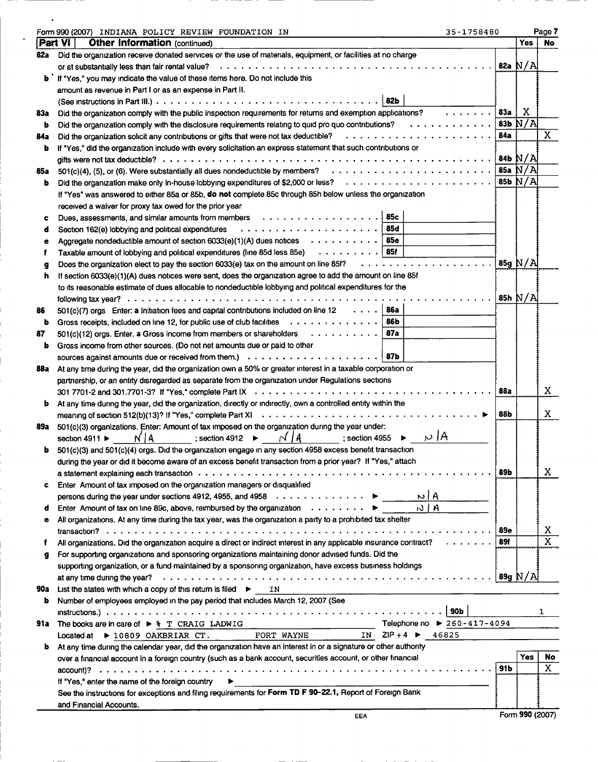|     | Form 990 (2007) INDIANA POLICY REVIEW FOUNDATION IN                                                                                                                                           | 35-1758480                                                                                                                          |     |             | Page 7                  |
|-----|-----------------------------------------------------------------------------------------------------------------------------------------------------------------------------------------------|-------------------------------------------------------------------------------------------------------------------------------------|-----|-------------|-------------------------|
|     | Part VI  <br><b>Other Information (continued)</b>                                                                                                                                             |                                                                                                                                     |     | Yes         | No.                     |
| 82a | Did the organization receive donated services or the use of materials, equipment, or facilities at no charge                                                                                  |                                                                                                                                     |     |             |                         |
|     | or at substantially less than fair rental value?                                                                                                                                              |                                                                                                                                     |     | 82a $N/A$   |                         |
|     | <b>b</b> if "Yes," you may indicate the value of these items here. Do not include this                                                                                                        |                                                                                                                                     |     |             |                         |
|     | amount as revenue in Part I or as an expense in Part II.                                                                                                                                      |                                                                                                                                     |     |             |                         |
|     | 82b                                                                                                                                                                                           |                                                                                                                                     |     |             |                         |
| 83а | Did the organization comply with the public inspection requirements for returns and exemption applications?                                                                                   | $\mathbf{1} \cdot \mathbf{1} \cdot \mathbf{1} \cdot \mathbf{1} \cdot \mathbf{1} \cdot \mathbf{1} \cdot \mathbf{1} \cdot \mathbf{1}$ | 83а | X.          |                         |
| b   | Did the organization comply with the disclosure requirements relating to quid pro quo contributions?                                                                                          |                                                                                                                                     | 83Ь | N/A         |                         |
| 84a |                                                                                                                                                                                               |                                                                                                                                     | 84a |             | $\mathbf{x}$            |
| ь   | If "Yes," did the organization include with every solicitation an express statement that such contributions or                                                                                |                                                                                                                                     |     |             |                         |
|     |                                                                                                                                                                                               |                                                                                                                                     |     |             |                         |
| 85a | 501(c)(4), (5), or (6). Were substantially all dues nondeductible by members? $\ldots \ldots \ldots \ldots \ldots \ldots \ldots \ldots$   85a $N/A$                                           |                                                                                                                                     |     |             |                         |
| ь   |                                                                                                                                                                                               |                                                                                                                                     |     | $85b$ $N/A$ |                         |
|     | If "Yes" was answered to either 85a or 85b, do not complete 85c through 85h below unless the organization                                                                                     |                                                                                                                                     |     |             |                         |
|     | received a waiver for proxy tax owed for the prior year                                                                                                                                       |                                                                                                                                     |     |             |                         |
| c   |                                                                                                                                                                                               |                                                                                                                                     |     |             |                         |
| d   | Section 162(e) lobbying and political expenditures                                                                                                                                            |                                                                                                                                     |     |             |                         |
| e   | Aggregate nondeductible amount of section 6033(e)(1)(A) dues notices $\ldots \ldots \ldots$                                                                                                   |                                                                                                                                     |     |             |                         |
|     | Taxable amount of lobbying and political expenditures (line 85d less 85e) 85f                                                                                                                 |                                                                                                                                     |     |             |                         |
| g   | Does the organization elect to pay the section 6033(e) tax on the amount on line 85f?                                                                                                         |                                                                                                                                     |     | $85q$ N/A   |                         |
| h   | If section 6033(e)(1)(A) dues notices were sent, does the organization agree to add the amount on line 85f                                                                                    |                                                                                                                                     |     |             |                         |
|     | to its reasonable estimate of dues allocable to nondeductible lobbying and political expenditures for the                                                                                     |                                                                                                                                     |     |             |                         |
|     |                                                                                                                                                                                               |                                                                                                                                     |     | 85h $N/A$   |                         |
| 86  | 86a<br>501(c)(7) orgs Enter: a Initiation fees and capital contributions included on line 12 $\dots$ .                                                                                        |                                                                                                                                     |     |             |                         |
| ь   | Gross receipts, included on line 12, for public use of club facilities<br>86b                                                                                                                 |                                                                                                                                     |     |             |                         |
| 87  | $501(c)(12)$ orgs. Enter. a Gross income from members or shareholders<br>87a                                                                                                                  |                                                                                                                                     |     |             |                         |
| ь   | Gross income from other sources. (Do not net amounts due or paid to other                                                                                                                     |                                                                                                                                     |     |             |                         |
|     |                                                                                                                                                                                               |                                                                                                                                     |     |             |                         |
| 88a | At any time during the year, did the organization own a 50% or greater interest in a taxable corporation or                                                                                   |                                                                                                                                     |     |             |                         |
|     | partnership, or an entity disregarded as separate from the organization under Regulations sections                                                                                            |                                                                                                                                     |     |             |                         |
|     |                                                                                                                                                                                               |                                                                                                                                     | 88a |             | X                       |
| ь   | At any time during the year, did the organization, directly or indirectly, own a controlled entity within the                                                                                 |                                                                                                                                     |     |             |                         |
|     |                                                                                                                                                                                               |                                                                                                                                     | 88b |             | X.                      |
|     | 89a 501(c)(3) organizations. Enter: Amount of tax imposed on the organization during the year under:<br>$N/A$ ; section 4912 $\blacktriangleright$ $N/A$ ; section 4955 $\blacktriangleright$ | $\mu$  A                                                                                                                            |     |             |                         |
|     | section 4911 $\blacktriangleright$                                                                                                                                                            |                                                                                                                                     |     |             |                         |
|     | 501(c)(3) and 501(c)(4) orgs. Did the organization engage in any section 4958 excess benefit transaction                                                                                      |                                                                                                                                     |     |             |                         |
|     | during the year or did it become aware of an excess benefit transaction from a prior year? If "Yes," attach                                                                                   |                                                                                                                                     | 89Ь |             | X                       |
|     | Enter Amount of tax imposed on the organization managers or disqualified                                                                                                                      |                                                                                                                                     |     |             |                         |
| c   | persons during the year under sections 4912, 4955, and 4958 $\dots \dots \dots \dots$                                                                                                         | N   M                                                                                                                               |     |             |                         |
| d   | Enter Amount of tax on line 89c, above, reimbursed by the organization $\cdots \cdots$                                                                                                        | $N$   A                                                                                                                             |     |             |                         |
| ٠   | All organizations. At any time during the tax year, was the organization a party to a prohibited tax shelter                                                                                  |                                                                                                                                     |     |             |                         |
|     |                                                                                                                                                                                               |                                                                                                                                     | 89e |             | X                       |
| f   | All organizations. Did the organization acquire a direct or indirect interest in any applicable insurance contract?                                                                           |                                                                                                                                     | 89f |             | $\overline{\mathtt{x}}$ |
| g   | For supporting organizations and sponsoring organizations maintaining donor advised funds. Did the                                                                                            |                                                                                                                                     |     |             |                         |
|     | supporting organization, or a fund maintained by a sponsoring organization, have excess business holdings                                                                                     |                                                                                                                                     |     |             |                         |
|     |                                                                                                                                                                                               |                                                                                                                                     |     | 89g $N/A$   |                         |
| 90a | List the states with which a copy of this return is filed $\blacktriangleright$ IN                                                                                                            |                                                                                                                                     |     |             |                         |
| ь   | Number of employees employed in the pay period that includes March 12, 2007 (See                                                                                                              |                                                                                                                                     |     |             |                         |
|     |                                                                                                                                                                                               | <b>90b</b>                                                                                                                          |     |             | ı                       |
|     | 91a The books are in care of ▶ % T CRAIG LADWIG                                                                                                                                               | Telephone no ▶ 260-417-4094                                                                                                         |     |             |                         |
|     | FORT WAYNE<br>Located at $\triangleright$ 10809 OAKBRIAR CT.                                                                                                                                  | IN $ZIP + 4$ $\triangleright$ 46825                                                                                                 |     |             |                         |
| b   | At any time during the calendar year, did the organization have an interest in or a signature or other authority                                                                              |                                                                                                                                     |     |             |                         |
|     | over a financial account in a foreign country (such as a bank account, securities account, or other financial                                                                                 |                                                                                                                                     |     | Yes         | No                      |
|     |                                                                                                                                                                                               |                                                                                                                                     | 91b |             | $\mathbf{x}$            |
|     | If "Yes," enter the name of the foreign country                                                                                                                                               |                                                                                                                                     |     |             |                         |
|     | See the instructions for exceptions and filing requirements for Form TD F 90-22.1, Report of Foreign Bank                                                                                     |                                                                                                                                     |     |             |                         |
|     | and Financial Accounts.                                                                                                                                                                       |                                                                                                                                     |     |             |                         |

 $\hat{\boldsymbol{\cdot} }$ 

 $\mathcal{L}^{\pm}$ 

EEA Form 990 (2007)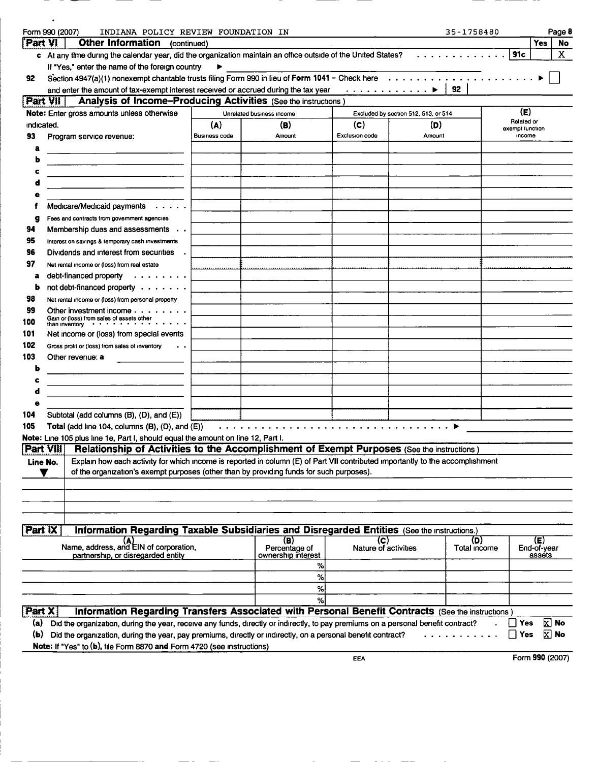|            | Form 990 (2007)<br>INDIANA POLICY REVIEW FOUNDATION IN                                                                                                                                                                     |                      |                                     |                             |                                                                                                                                                                                                              | 35-1758480   |            | Page 8                    |  |
|------------|----------------------------------------------------------------------------------------------------------------------------------------------------------------------------------------------------------------------------|----------------------|-------------------------------------|-----------------------------|--------------------------------------------------------------------------------------------------------------------------------------------------------------------------------------------------------------|--------------|------------|---------------------------|--|
| Part VI    | <b>Other Information</b><br>(continued)                                                                                                                                                                                    |                      |                                     |                             |                                                                                                                                                                                                              |              |            | Yes<br>No                 |  |
|            | c At any time during the calendar year, did the organization maintain an office outside of the United States?                                                                                                              |                      |                                     |                             |                                                                                                                                                                                                              |              | <b>91c</b> | X                         |  |
|            | If "Yes," enter the name of the foreign country                                                                                                                                                                            |                      |                                     |                             |                                                                                                                                                                                                              |              |            |                           |  |
| 92         | Section 4947(a)(1) nonexempt charitable trusts filing Form 990 in lieu of Form 1041 - Check here                                                                                                                           |                      |                                     |                             |                                                                                                                                                                                                              | 92           |            |                           |  |
| Part VII   | and enter the amount of tax-exempt interest received or accrued during the tax year<br><b>Analysis of Income-Producing Activities (See the instructions)</b>                                                               |                      |                                     |                             | ▶<br>$\mathbf{a} \cdot \mathbf{a} \cdot \mathbf{a} \cdot \mathbf{a} \cdot \mathbf{a} \cdot \mathbf{a} \cdot \mathbf{a} \cdot \mathbf{a} \cdot \mathbf{a} \cdot \mathbf{a} \cdot \mathbf{a} \cdot \mathbf{a}$ |              |            |                           |  |
|            | Note: Enter gross amounts unless otherwise                                                                                                                                                                                 |                      | Unrelated business income           |                             | Excluded by section 512, 513, or 514                                                                                                                                                                         |              |            | (E)                       |  |
| indicated. |                                                                                                                                                                                                                            | (A)                  | (B)                                 | (C)                         | (D)                                                                                                                                                                                                          |              |            | Related or                |  |
| 93         | Program service revenue:                                                                                                                                                                                                   | <b>Business code</b> | Amount                              | Exclusion code              | Amount                                                                                                                                                                                                       |              |            | exempt function<br>income |  |
| a          |                                                                                                                                                                                                                            |                      |                                     |                             |                                                                                                                                                                                                              |              |            |                           |  |
|            |                                                                                                                                                                                                                            |                      |                                     |                             |                                                                                                                                                                                                              |              |            |                           |  |
|            |                                                                                                                                                                                                                            |                      |                                     |                             |                                                                                                                                                                                                              |              |            |                           |  |
|            |                                                                                                                                                                                                                            |                      |                                     |                             |                                                                                                                                                                                                              |              |            |                           |  |
|            |                                                                                                                                                                                                                            |                      |                                     |                             |                                                                                                                                                                                                              |              |            |                           |  |
|            | Medicare/Medicaid payments<br>$\sim$ $\sim$ $\sim$ $\sim$ $\sim$ $\sim$                                                                                                                                                    |                      |                                     |                             |                                                                                                                                                                                                              |              |            |                           |  |
| g          | Fees and contracts from government agencies                                                                                                                                                                                |                      |                                     |                             |                                                                                                                                                                                                              |              |            |                           |  |
| 94         | Membership dues and assessments                                                                                                                                                                                            |                      |                                     |                             |                                                                                                                                                                                                              |              |            |                           |  |
| 95         | Interest on savings & temporary cash investments                                                                                                                                                                           |                      |                                     |                             |                                                                                                                                                                                                              |              |            |                           |  |
| 96         | Dividends and interest from securities                                                                                                                                                                                     |                      |                                     |                             |                                                                                                                                                                                                              |              |            |                           |  |
| 97         | Net rental income or (loss) from real estate                                                                                                                                                                               |                      |                                     |                             |                                                                                                                                                                                                              |              |            |                           |  |
| a          | debt-financed property<br>.                                                                                                                                                                                                |                      |                                     |                             |                                                                                                                                                                                                              |              |            |                           |  |
| b          | not debt-financed property                                                                                                                                                                                                 |                      |                                     |                             |                                                                                                                                                                                                              |              |            |                           |  |
| 98         | Net rental income or (loss) from personal property                                                                                                                                                                         |                      |                                     |                             |                                                                                                                                                                                                              |              |            |                           |  |
| 99         | Other investment income                                                                                                                                                                                                    |                      |                                     |                             |                                                                                                                                                                                                              |              |            |                           |  |
| 100        | Gain or (loss) from sales of assets other<br>than inventory with an inventory                                                                                                                                              |                      |                                     |                             |                                                                                                                                                                                                              |              |            |                           |  |
| 101        | Net income or (loss) from special events                                                                                                                                                                                   |                      |                                     |                             |                                                                                                                                                                                                              |              |            |                           |  |
| 102        | Gross profit or (loss) from sales of inventory                                                                                                                                                                             |                      |                                     |                             |                                                                                                                                                                                                              |              |            |                           |  |
| 103        | Other revenue: a                                                                                                                                                                                                           |                      |                                     |                             |                                                                                                                                                                                                              |              |            |                           |  |
| ь          |                                                                                                                                                                                                                            |                      |                                     |                             |                                                                                                                                                                                                              |              |            |                           |  |
|            |                                                                                                                                                                                                                            |                      |                                     |                             |                                                                                                                                                                                                              |              |            |                           |  |
|            |                                                                                                                                                                                                                            |                      |                                     |                             |                                                                                                                                                                                                              |              |            |                           |  |
|            |                                                                                                                                                                                                                            |                      |                                     |                             |                                                                                                                                                                                                              |              |            |                           |  |
| 104        | Subtotal (add columns (B), (D), and (E))                                                                                                                                                                                   |                      |                                     |                             |                                                                                                                                                                                                              |              |            |                           |  |
| 105        | Total (add line 104, columns (B), (D), and (E))                                                                                                                                                                            |                      |                                     |                             |                                                                                                                                                                                                              |              |            |                           |  |
|            | Note: Line 105 plus line 1e, Part I, should equal the amount on line 12, Part I.                                                                                                                                           |                      |                                     |                             |                                                                                                                                                                                                              |              |            |                           |  |
|            | Part Vill Relationship of Activities to the Accomplishment of Exempt Purposes (See the instructions)                                                                                                                       |                      |                                     |                             |                                                                                                                                                                                                              |              |            |                           |  |
| Line No.   | Explain how each activity for which income is reported in column (E) of Part VII contributed importantly to the accomplishment<br>of the organization's exempt purposes (other than by providing funds for such purposes). |                      |                                     |                             |                                                                                                                                                                                                              |              |            |                           |  |
|            |                                                                                                                                                                                                                            |                      |                                     |                             |                                                                                                                                                                                                              |              |            |                           |  |
|            |                                                                                                                                                                                                                            |                      |                                     |                             |                                                                                                                                                                                                              |              |            |                           |  |
|            |                                                                                                                                                                                                                            |                      |                                     |                             |                                                                                                                                                                                                              |              |            |                           |  |
|            |                                                                                                                                                                                                                            |                      |                                     |                             |                                                                                                                                                                                                              |              |            |                           |  |
| Part IX    | Information Regarding Taxable Subsidiaries and Disregarded Entities (See the Instructions.)                                                                                                                                |                      |                                     |                             |                                                                                                                                                                                                              |              |            |                           |  |
|            |                                                                                                                                                                                                                            |                      | (B)                                 | (C)                         |                                                                                                                                                                                                              | (D)          |            | (E)                       |  |
|            | Name, address, and EIN of corporation,<br>partnership, or disregarded entity                                                                                                                                               |                      | Percentage of<br>ownership interest | <b>Nature of activities</b> |                                                                                                                                                                                                              | Total income |            | End-of-year<br>assets     |  |
|            |                                                                                                                                                                                                                            |                      | ℅                                   |                             |                                                                                                                                                                                                              |              |            |                           |  |
|            |                                                                                                                                                                                                                            |                      | ℅                                   |                             |                                                                                                                                                                                                              |              |            |                           |  |
|            |                                                                                                                                                                                                                            |                      | ℅                                   |                             |                                                                                                                                                                                                              |              |            |                           |  |
|            |                                                                                                                                                                                                                            |                      | %                                   |                             |                                                                                                                                                                                                              |              |            |                           |  |
| Part X     | Information Regarding Transfers Associated with Personal Benefit Contracts (See the instructions                                                                                                                           |                      |                                     |                             |                                                                                                                                                                                                              |              |            |                           |  |
| (a)        | Did the organization, during the year, receive any funds, directly or indirectly, to pay premiums on a personal benefit contract?                                                                                          |                      |                                     |                             |                                                                                                                                                                                                              |              |            | $\boxtimes$ No<br>Yes     |  |
| (b)        | Did the organization, during the year, pay premiums, directly or indirectly, on a personal benefit contract?                                                                                                               |                      |                                     |                             |                                                                                                                                                                                                              |              |            | $\Sigma$ No<br>Yes        |  |
|            | Note: If "Yes" to (b), file Form 8870 and Form 4720 (see instructions)                                                                                                                                                     |                      |                                     |                             |                                                                                                                                                                                                              |              |            |                           |  |
|            |                                                                                                                                                                                                                            |                      |                                     | EEA                         |                                                                                                                                                                                                              |              |            | Form 990 (2007)           |  |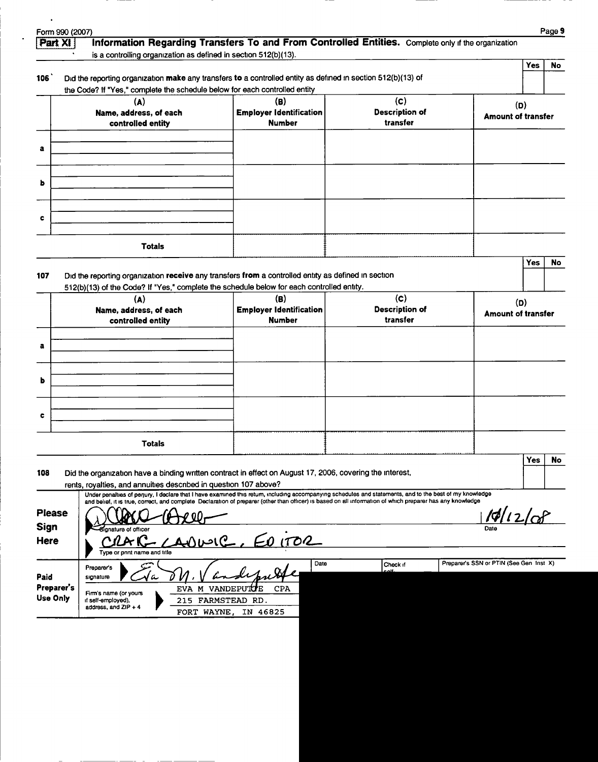| Part XI I                      |                                                                            | Information Regarding Transfers To and From Controlled Entities. Complete only if the organization                                                                                                                                                                                                                   |                       |                                         |     | Page 9 |
|--------------------------------|----------------------------------------------------------------------------|----------------------------------------------------------------------------------------------------------------------------------------------------------------------------------------------------------------------------------------------------------------------------------------------------------------------|-----------------------|-----------------------------------------|-----|--------|
|                                | is a controlling organization as defined in section 512(b)(13).            |                                                                                                                                                                                                                                                                                                                      |                       |                                         |     |        |
|                                |                                                                            |                                                                                                                                                                                                                                                                                                                      |                       |                                         | Yes | No     |
| 106 <sup>°</sup>               | the Code? If "Yes," complete the schedule below for each controlled entity | Did the reporting organization make any transfers to a controlled entity as defined in section 512(b)(13) of                                                                                                                                                                                                         |                       |                                         |     |        |
|                                | (A)                                                                        | (B)                                                                                                                                                                                                                                                                                                                  | (c)                   | (D)                                     |     |        |
|                                | Name, address, of each                                                     | <b>Employer Identification</b>                                                                                                                                                                                                                                                                                       | <b>Description of</b> | Amount of transfer                      |     |        |
|                                | controlled entity                                                          | <b>Number</b>                                                                                                                                                                                                                                                                                                        | transfer              |                                         |     |        |
| а                              |                                                                            |                                                                                                                                                                                                                                                                                                                      |                       |                                         |     |        |
|                                |                                                                            |                                                                                                                                                                                                                                                                                                                      |                       |                                         |     |        |
|                                |                                                                            |                                                                                                                                                                                                                                                                                                                      |                       |                                         |     |        |
| ь                              |                                                                            |                                                                                                                                                                                                                                                                                                                      |                       |                                         |     |        |
|                                |                                                                            |                                                                                                                                                                                                                                                                                                                      |                       |                                         |     |        |
| c                              |                                                                            |                                                                                                                                                                                                                                                                                                                      |                       |                                         |     |        |
|                                |                                                                            |                                                                                                                                                                                                                                                                                                                      |                       |                                         |     |        |
|                                | <b>Totals</b>                                                              |                                                                                                                                                                                                                                                                                                                      |                       |                                         |     |        |
|                                |                                                                            |                                                                                                                                                                                                                                                                                                                      |                       |                                         | Yes | No     |
| 107                            |                                                                            | Did the reporting organization receive any transfers from a controlled entity as defined in section                                                                                                                                                                                                                  |                       |                                         |     |        |
|                                | (A)                                                                        | 512(b)(13) of the Code? If "Yes," complete the schedule below for each controlled entity.<br>(B)                                                                                                                                                                                                                     | (c)                   |                                         |     |        |
|                                | Name, address, of each                                                     | <b>Employer Identification</b>                                                                                                                                                                                                                                                                                       | <b>Description of</b> | (D)<br><b>Amount of transfer</b>        |     |        |
|                                | controlled entity                                                          | <b>Number</b>                                                                                                                                                                                                                                                                                                        | transfer              |                                         |     |        |
|                                |                                                                            |                                                                                                                                                                                                                                                                                                                      |                       |                                         |     |        |
| а                              |                                                                            |                                                                                                                                                                                                                                                                                                                      |                       |                                         |     |        |
|                                |                                                                            |                                                                                                                                                                                                                                                                                                                      |                       |                                         |     |        |
| ь                              |                                                                            |                                                                                                                                                                                                                                                                                                                      |                       |                                         |     |        |
|                                |                                                                            |                                                                                                                                                                                                                                                                                                                      |                       |                                         |     |        |
| c                              |                                                                            |                                                                                                                                                                                                                                                                                                                      |                       |                                         |     |        |
|                                |                                                                            |                                                                                                                                                                                                                                                                                                                      |                       |                                         |     |        |
|                                | <b>Totals</b>                                                              |                                                                                                                                                                                                                                                                                                                      |                       |                                         |     |        |
|                                |                                                                            |                                                                                                                                                                                                                                                                                                                      |                       |                                         | Yes | No     |
| 108                            |                                                                            | Did the organization have a binding written contract in effect on August 17, 2006, covering the interest,                                                                                                                                                                                                            |                       |                                         |     |        |
|                                | rents, royalties, and annuities described in question 107 above?           |                                                                                                                                                                                                                                                                                                                      |                       |                                         |     |        |
|                                |                                                                            | Under penalties of penury, I declare that I have examined this retum, including accompanying schedules and statements, and to the best of my knowledge<br>and belief, it is true, correct, and complete Declaration of preparer (other than officer) is based on all information of which preparer has any knowledge |                       |                                         |     |        |
| <b>Please</b>                  |                                                                            |                                                                                                                                                                                                                                                                                                                      |                       | 10/12/2                                 |     |        |
| <b>Sign</b>                    | gnature of officer                                                         |                                                                                                                                                                                                                                                                                                                      |                       |                                         |     |        |
| <b>Here</b>                    |                                                                            | 1702                                                                                                                                                                                                                                                                                                                 |                       |                                         |     |        |
|                                | Type or pnnt name and title                                                | Date                                                                                                                                                                                                                                                                                                                 | Check if              | Preparer's SSN or PTIN (See Gen Inst X) |     |        |
|                                | <b>Preparer's</b><br>signature<br>a                                        |                                                                                                                                                                                                                                                                                                                      | بالصد                 |                                         |     |        |
|                                |                                                                            | <b>CPA</b>                                                                                                                                                                                                                                                                                                           |                       |                                         |     |        |
|                                | EVA M VANDEPUTUE<br>Firm's name (or yours                                  |                                                                                                                                                                                                                                                                                                                      |                       |                                         |     |        |
| Paid<br>Preparer's<br>Use Only | if self-employed),<br>address, and ZIP + 4<br>FORT WAYNE,                  | 215 FARMSTEAD RD.<br>IN 46825                                                                                                                                                                                                                                                                                        |                       |                                         |     |        |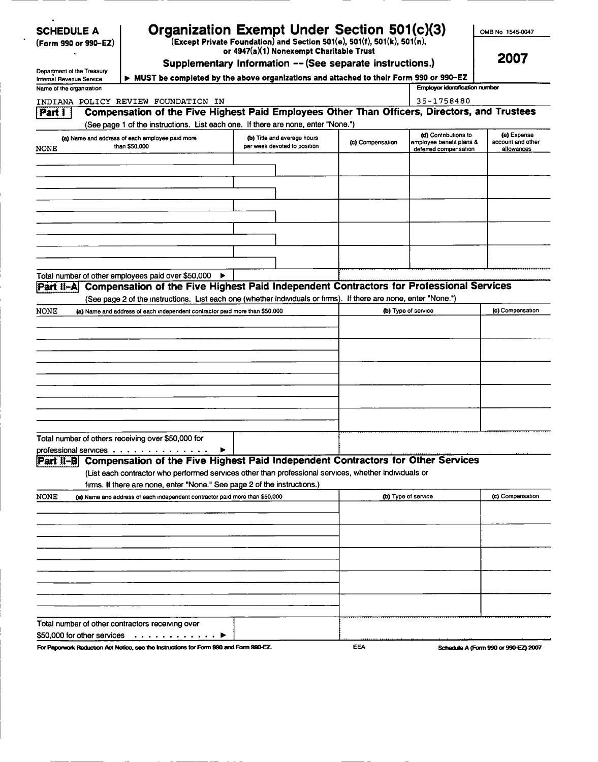| SCHEDULE A |  |
|------------|--|
|------------|--|

| (Form 990 or 990–EZ) |  |  |  |  |
|----------------------|--|--|--|--|
|----------------------|--|--|--|--|

## SCHEDULE A Gramization Exempt Under Section 501(c)(3)

(Form 990 or 990-EZ) (Except Private Foundation) and Section 501(e), 501(f ), 501(k), 501(n), or 4947( a)(1) Nonexempt Charitable Trust

OMB No 1545-0047

2007

Department of the Treasury Internal Revenue Service | ▶

| Supplementary Information -- (See separate instructions.)                             |  |
|---------------------------------------------------------------------------------------|--|
| MUST be completed by the above organizations and attached to their Form 990 or 990-EZ |  |

| Name of the organization                                                                                                                                                                    |                                                             | Employer identification number |                                                  |                                      |
|---------------------------------------------------------------------------------------------------------------------------------------------------------------------------------------------|-------------------------------------------------------------|--------------------------------|--------------------------------------------------|--------------------------------------|
| INDIANA POLICY REVIEW FOUNDATION IN                                                                                                                                                         |                                                             | 35-1758480                     |                                                  |                                      |
| Compensation of the Five Highest Paid Employees Other Than Officers, Directors, and Trustees<br>Part I<br>(See page 1 of the instructions. List each one. If there are none, enter "None.") |                                                             |                                |                                                  |                                      |
| (a) Name and address of each employee paid more<br>than \$50,000                                                                                                                            | (b) Title and average hours<br>per week devoted to position | (c) Compensation               | (d) Contributions to<br>emplovee benefit plans & | (e) Expense<br>account and other     |
| <b>NONE</b>                                                                                                                                                                                 |                                                             |                                | deferred compensation                            | allowances                           |
|                                                                                                                                                                                             |                                                             |                                |                                                  |                                      |
|                                                                                                                                                                                             |                                                             |                                |                                                  |                                      |
|                                                                                                                                                                                             |                                                             |                                |                                                  |                                      |
|                                                                                                                                                                                             |                                                             |                                |                                                  |                                      |
|                                                                                                                                                                                             |                                                             |                                |                                                  |                                      |
|                                                                                                                                                                                             |                                                             |                                |                                                  |                                      |
|                                                                                                                                                                                             |                                                             |                                |                                                  |                                      |
|                                                                                                                                                                                             |                                                             |                                |                                                  |                                      |
| Total number of other employees paid over \$50,000 ▶                                                                                                                                        |                                                             |                                |                                                  |                                      |
| Part II-A Compensation of the Five Highest Paid Independent Contractors for Professional Services                                                                                           |                                                             |                                |                                                  |                                      |
| (See page 2 of the instructions. List each one (whether individuals or firms). If there are none, enter "None.")                                                                            |                                                             |                                |                                                  |                                      |
| <b>NONE</b><br>(a) Name and address of each independent contractor paid more than \$50,000                                                                                                  |                                                             |                                | (b) Type of service                              | (c) Compensation                     |
|                                                                                                                                                                                             |                                                             |                                |                                                  |                                      |
|                                                                                                                                                                                             |                                                             |                                |                                                  |                                      |
|                                                                                                                                                                                             |                                                             |                                |                                                  |                                      |
|                                                                                                                                                                                             |                                                             |                                |                                                  |                                      |
|                                                                                                                                                                                             |                                                             |                                |                                                  |                                      |
|                                                                                                                                                                                             |                                                             |                                |                                                  |                                      |
|                                                                                                                                                                                             |                                                             |                                |                                                  |                                      |
|                                                                                                                                                                                             |                                                             |                                |                                                  |                                      |
|                                                                                                                                                                                             |                                                             |                                |                                                  |                                      |
| Total number of others receiving over \$50,000 for                                                                                                                                          |                                                             |                                |                                                  |                                      |
| professional services<br>Compensation of the Five Highest Paid Independent Contractors for Other Services<br>iPart ‡⊢Bi∶                                                                    |                                                             |                                |                                                  |                                      |
| (List each contractor who performed services other than professional services, whether individuals or                                                                                       |                                                             |                                |                                                  |                                      |
| firms. If there are none, enter "None." See page 2 of the instructions.)                                                                                                                    |                                                             |                                |                                                  |                                      |
| NONE<br>(a) Name and address of each independent contractor paid more than \$50,000                                                                                                         |                                                             | (b) Type of service            |                                                  | (c) Compensation                     |
|                                                                                                                                                                                             |                                                             |                                |                                                  |                                      |
|                                                                                                                                                                                             |                                                             |                                |                                                  |                                      |
|                                                                                                                                                                                             |                                                             |                                |                                                  |                                      |
|                                                                                                                                                                                             |                                                             |                                |                                                  |                                      |
|                                                                                                                                                                                             |                                                             |                                |                                                  |                                      |
|                                                                                                                                                                                             |                                                             |                                |                                                  |                                      |
|                                                                                                                                                                                             |                                                             |                                |                                                  |                                      |
|                                                                                                                                                                                             |                                                             |                                |                                                  |                                      |
|                                                                                                                                                                                             |                                                             |                                |                                                  |                                      |
| Total number of other contractors receiving over                                                                                                                                            |                                                             |                                |                                                  |                                      |
| \$50,000 for other services<br>. <b>.</b><br>For Paperwork Reduction Act Notice, see the Instructions for Form 990 and Form 990-EZ.                                                         |                                                             | EEA                            |                                                  | Schedule A (Form 990 or 990-EZ) 2007 |
|                                                                                                                                                                                             |                                                             |                                |                                                  |                                      |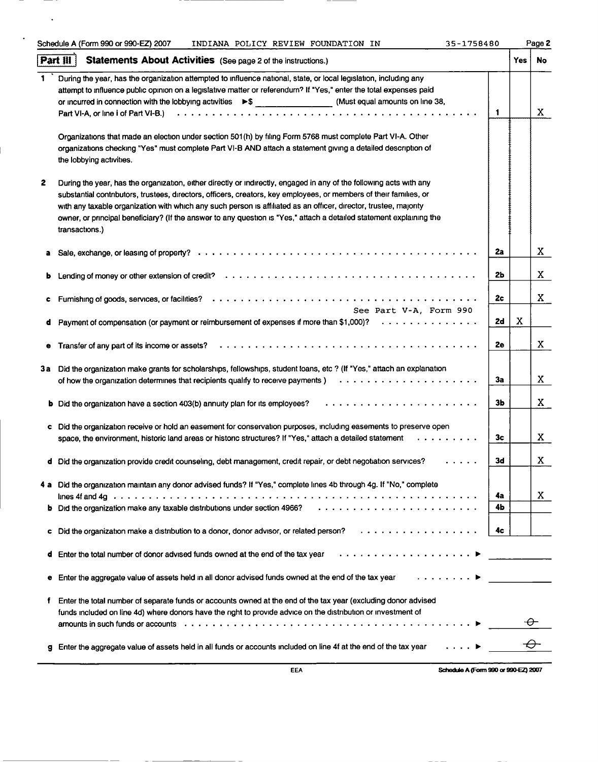|    | Schedule A (Form 990 or 990-EZ) 2007<br>35-1758480<br>INDIANA POLICY REVIEW FOUNDATION IN                                                                                                                                                                                                                                                                                                                                                                                                                |          |      | Page 2 |
|----|----------------------------------------------------------------------------------------------------------------------------------------------------------------------------------------------------------------------------------------------------------------------------------------------------------------------------------------------------------------------------------------------------------------------------------------------------------------------------------------------------------|----------|------|--------|
|    | Part $   $<br>Statements About Activities (See page 2 of the instructions.)                                                                                                                                                                                                                                                                                                                                                                                                                              |          | Yes: | No     |
| 1  | During the year, has the organization attempted to influence national, state, or local legislation, including any<br>attempt to influence public opinion on a legislative matter or referendum? If "Yes," enter the total expenses paid<br>or incurred in connection with the lobbying activities ▶ \$ (Must equal amounts on line 38,<br>Part VI-A, or line i of Part VI-B.)                                                                                                                            | 1        |      | X.     |
|    | Organizations that made an election under section 501(h) by filing Form 5768 must complete Part VI-A. Other<br>organizations checking "Yes" must complete Part VI-B AND attach a statement giving a detailed description of<br>the lobbying activities.                                                                                                                                                                                                                                                  |          |      |        |
| 2  | During the year, has the organization, either directly or indirectly, engaged in any of the following acts with any<br>substantial contributors, trustees, directors, officers, creators, key employees, or members of their families, or<br>with any taxable organization with which any such person is affiliated as an officer, director, trustee, majority<br>owner, or principal beneficiary? (If the answer to any question is "Yes," attach a detailed statement explaining the<br>transactions.) |          |      |        |
| a  |                                                                                                                                                                                                                                                                                                                                                                                                                                                                                                          | 2a       |      | X.     |
| b  | Lending of money or other extension of credit? (a) and a series of the series of the series of money or other extension of credit? (b) and a series of the series of the series of the series of the series of the series of t                                                                                                                                                                                                                                                                           | 2Ь       |      | X.     |
|    | See Part V-A, Form 990                                                                                                                                                                                                                                                                                                                                                                                                                                                                                   | 2c       |      | X.     |
| d  | Payment of compensation (or payment or reimbursement of expenses if more than \$1,000)?                                                                                                                                                                                                                                                                                                                                                                                                                  | 2d       | X    |        |
|    | Transfer of any part of its income or assets?                                                                                                                                                                                                                                                                                                                                                                                                                                                            | 2e       |      | X.     |
| 3а | Did the organization make grants for scholarships, fellowships, student loans, etc? (If "Yes," attach an explanation                                                                                                                                                                                                                                                                                                                                                                                     | 3a       |      | X.     |
|    | <b>b</b> Did the organization have a section 403(b) annuity plan for its employees?                                                                                                                                                                                                                                                                                                                                                                                                                      | Зb       |      | X.     |
| c  | Did the organization receive or hold an easement for conservation purposes, including easements to preserve open<br>space, the environment, historic land areas or historic structures? If "Yes," attach a detailed statement<br>.                                                                                                                                                                                                                                                                       | 3c       |      | X      |
|    | Did the organization provide credit counseling, debt management, credit repair, or debt negotiation services?                                                                                                                                                                                                                                                                                                                                                                                            | 3d       |      | X      |
|    | 4 a Did the organization maintain any donor advised funds? If "Yes," complete lines 4b through 4g. If "No," complete<br><b>b</b> Did the organization make any taxable distributions under section 4966?                                                                                                                                                                                                                                                                                                 | 4a<br>4Ь |      | X.     |
| c  |                                                                                                                                                                                                                                                                                                                                                                                                                                                                                                          | 4c       |      |        |
| d  |                                                                                                                                                                                                                                                                                                                                                                                                                                                                                                          |          |      |        |
| е  | Enter the aggregate value of assets held in all donor advised funds owned at the end of the tax year ▶                                                                                                                                                                                                                                                                                                                                                                                                   |          |      |        |
| f  | Enter the total number of separate funds or accounts owned at the end of the tax year (excluding donor advised<br>funds included on line 4d) where donors have the right to provide advice on the distribution or investment of<br>amounts in such funds or accounts (exception of exception of exception of the content of the content of the content of the content of the content of the content of the content of the content of the content of the content                                          |          |      |        |
| g  | Enter the aggregate value of assets held in all funds or accounts included on line 4f at the end of the tax year                                                                                                                                                                                                                                                                                                                                                                                         |          |      |        |

 $\mathcal{A}$ 

 $\mathcal{L}^{\pm}$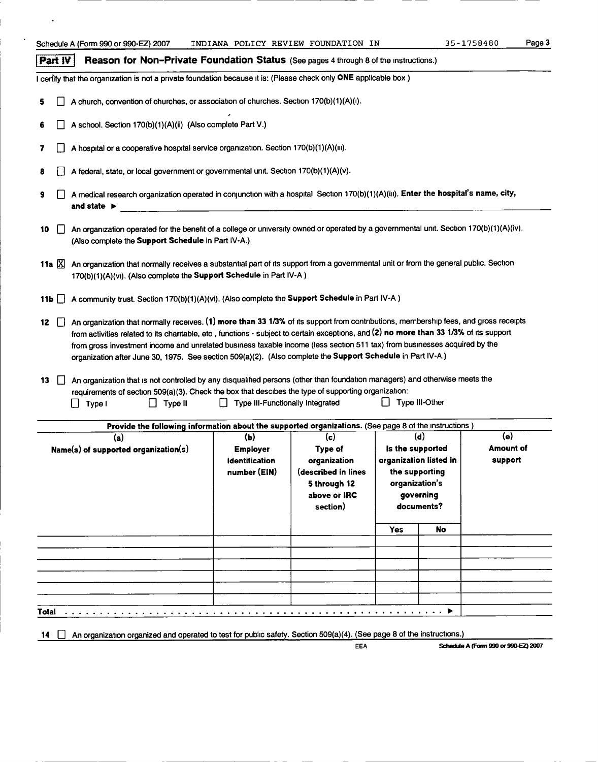#### **Part**  $\mathbf{IV}$  Reason for Non-Private Foundation Status (See pages 4 through 8 of the instructions.)

I certify that the organization is not a private foundation because it is: (Please check only ONE applicable box)

- 5  $\Box$  A church, convention of churches, or association of churches. Section 170(b)(1)(A)(i).
- 6  $\Box$  A school. Section 170(b)(1)(A)(ii) (Also complete Part V.)
- 7  $\Box$  A hospital or a cooperative hospital service organization. Section 170(b)(1)(A)(iii).
- 8  $\Box$  A federal, state, or local government or governmental unit. Section 170(b)(1)(A)(v).
- 9  $\Box$  A medical research organization operated in conjunction with a hospital Section 170(b)(1)(A)(iii). Enter the hospital's name, city, and state ►
- 10 An organization operated for the benefit of a college or university owned or operated by a governmental unit. Section 170(b)(1)(A)(iv). (Also complete the Support Schedule in Part IV-A.)
- 11a  $\Sigma$  An organization that normally receives a substantial part of its support from a governmental unit or from the general public. Section 170(b)(1)(A)(vi). (Also complete the Support Schedule in Part IV-A)
- 11b  $\Box$  A community trust. Section 170(b)(1)(A)(vi). (Also complete the Support Schedule in Part IV-A )
- 12 \] An organization that normally receives. (1) more than 33 1/3% of its support from contributions, membership fees, and gross receipts from activities related to its charitable, etc , functions  $\cdot$  subject to certain exceptions, and (2) no more than 33 1/3% of its support from gross investment income and unrelated business taxable income (less section 511 tax) from businesses acquired by the organization after June 30, 1975. See section 509(a)(2). (Also complete the Support Schedule in Part IV-A.)
- 13  $\Box$  An organization that is not controlled by any disqualified persons (other than foundation managers) and otherwise meets the requirements of section 509(a)(3). Check the box that descibes the type of supporting organization:<br>  $\Box$  Type II  $\Box$  Type III  $\Box$  Type III Functionally Integrated  $\Box$  Type III-Other  $\Box$  Type II  $\Box$  Type III  $\Box$  Type III-Functionally Integrated

| (a)<br>Name(s) of supported organization(s) | (b)<br><b>Employer</b><br>identification<br>number (EIN) | (c)<br>Type of<br>organization<br>(described in lines<br>5 through 12<br>above or IRC<br>section) | (d)<br>Is the supported<br>organization listed in<br>the supporting<br>organization's<br>governing<br>documents? | Provide the following information about the supported organizations. (See page 8 of the instructions)<br>(e)<br><b>Amount of</b><br>support |  |
|---------------------------------------------|----------------------------------------------------------|---------------------------------------------------------------------------------------------------|------------------------------------------------------------------------------------------------------------------|---------------------------------------------------------------------------------------------------------------------------------------------|--|
|                                             |                                                          |                                                                                                   | <b>Yes</b>                                                                                                       | No                                                                                                                                          |  |
|                                             |                                                          |                                                                                                   |                                                                                                                  |                                                                                                                                             |  |
|                                             |                                                          |                                                                                                   |                                                                                                                  |                                                                                                                                             |  |
|                                             |                                                          |                                                                                                   |                                                                                                                  |                                                                                                                                             |  |
|                                             |                                                          |                                                                                                   |                                                                                                                  |                                                                                                                                             |  |

14  $\Box$  An organization organized and operated to test for public safety. Section 509(a)(4). (See page 8 of the instructions.)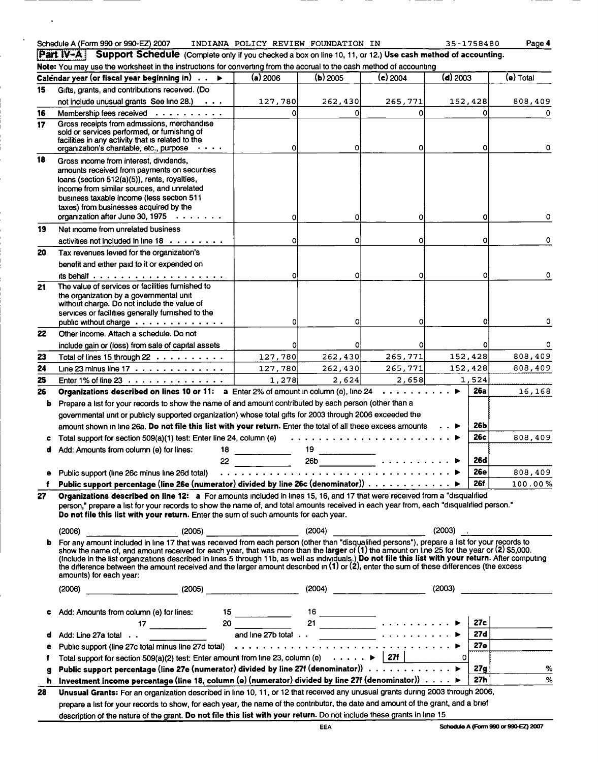| Schedule A (Form 990 or 990-EZ) 2 |  |  |
|-----------------------------------|--|--|
|                                   |  |  |

Schedule A (Form 990 or 990-EZ) 2007 INDIANA POLICY REVIEW FOUNDATION IN 35-1758480 Page 4<br> **Part IV-A** Support Schedule (Complete only if you checked a box on line 10, 11, or 12.) Use cash method of accounting.

Note : You may use the worksheet in the instructions for converting from the accrual to the cash method of accounting

Support Schedule (Complete only if you checked a box on line 10, 11, or 12.) Use cash method of accounting.

|    | note. Tou may use the worksheet in the instructions for convening nomitale accruanto the cash method or accounting                                                                                                                                                                                                                                                           |                                                          |            |                 |              |            |             |
|----|------------------------------------------------------------------------------------------------------------------------------------------------------------------------------------------------------------------------------------------------------------------------------------------------------------------------------------------------------------------------------|----------------------------------------------------------|------------|-----------------|--------------|------------|-------------|
|    | Calendar year (or fiscal year beginning in) $\;\ldots\;\blacktriangleright\;$                                                                                                                                                                                                                                                                                                | $(a)$ 2006                                               | $(b)$ 2005 | $(c)$ 2004      | $(d)$ 2003   |            | (e) Total   |
| 15 | Gifts, grants, and contributions received. (Do                                                                                                                                                                                                                                                                                                                               |                                                          |            |                 |              |            |             |
|    | not include unusual grants See line 28.)<br>$\sim$ $\sim$ $\sim$                                                                                                                                                                                                                                                                                                             | 127,780                                                  | 262,430    | 265,771         | 152,428      |            | 808,409     |
| 16 | Membership fees received                                                                                                                                                                                                                                                                                                                                                     | $\Omega$                                                 | o۱         | O               |              |            |             |
| 17 | Gross receipts from admissions, merchandise<br>sold or services performed, or furnishing of                                                                                                                                                                                                                                                                                  |                                                          |            |                 |              |            |             |
|    | facilities in any activity that is related to the                                                                                                                                                                                                                                                                                                                            |                                                          |            |                 |              |            |             |
|    | organization's charitable, etc., purpose<br>.                                                                                                                                                                                                                                                                                                                                | ٥I                                                       | οI         | o               |              |            | 0           |
| 18 | Gross income from interest, dividends,                                                                                                                                                                                                                                                                                                                                       |                                                          |            |                 |              |            |             |
|    | amounts received from payments on securities                                                                                                                                                                                                                                                                                                                                 |                                                          |            |                 |              |            |             |
|    | loans (section 512(a)(5)), rents, royalties,<br>income from similar sources, and unrelated                                                                                                                                                                                                                                                                                   |                                                          |            |                 |              |            |             |
|    | business taxable income (less section 511                                                                                                                                                                                                                                                                                                                                    |                                                          |            |                 |              |            |             |
|    | taxes) from businesses acquired by the                                                                                                                                                                                                                                                                                                                                       |                                                          |            |                 |              |            |             |
|    | organization after June 30, 1975                                                                                                                                                                                                                                                                                                                                             | οl                                                       | ٥I         |                 |              | ٥          | 0           |
| 19 | Net income from unrelated business                                                                                                                                                                                                                                                                                                                                           |                                                          |            |                 |              |            |             |
|    | activities not included in line $18 \cdot \cdot \cdot \cdot \cdot \cdot \cdot$ .                                                                                                                                                                                                                                                                                             | οl                                                       | o          |                 |              | o          | 0           |
| 20 | Tax revenues levied for the organization's                                                                                                                                                                                                                                                                                                                                   |                                                          |            |                 |              |            |             |
|    | benefit and either paid to it or expended on                                                                                                                                                                                                                                                                                                                                 |                                                          |            |                 |              |            |             |
|    | its behalf $\ldots$                                                                                                                                                                                                                                                                                                                                                          | οl                                                       | 0          | 0               |              | ۵l         | $\mathbf 0$ |
| 21 | The value of services or facilities furnished to<br>the organization by a governmental unit                                                                                                                                                                                                                                                                                  |                                                          |            |                 |              |            |             |
|    | without charge. Do not include the value of                                                                                                                                                                                                                                                                                                                                  |                                                          |            |                 |              |            |             |
|    | services or facilities generally furnished to the                                                                                                                                                                                                                                                                                                                            |                                                          |            |                 |              |            |             |
|    | public without charge<br>Other income. Attach a schedule. Do not                                                                                                                                                                                                                                                                                                             | $\Omega$                                                 | 0          | Ω               |              |            | ٥           |
| 22 |                                                                                                                                                                                                                                                                                                                                                                              |                                                          |            | 0               |              |            | 0           |
| 23 | include gain or (loss) from sale of capital assets<br>Total of lines 15 through 22                                                                                                                                                                                                                                                                                           | ٥l<br>127,780                                            | 262,430    | 265,771         | 152,428      |            | 808,409     |
| 24 | Line 23 minus line $17 \cdot \cdot \cdot \cdot \cdot \cdot \cdot \cdot \cdot \cdot \cdot \cdot$                                                                                                                                                                                                                                                                              | 127,780                                                  | 262,430    | 265,771         | 152,428      |            | 808,409     |
| 25 | Enter 1% of line 23 $\ldots$                                                                                                                                                                                                                                                                                                                                                 | 1,278                                                    | 2,624      | 2,658           | 1,524        |            |             |
| 26 | Organizations described on lines 10 or 11: a Enter 2% of amount in column (e), line 24                                                                                                                                                                                                                                                                                       |                                                          |            | . <i>.</i> .    | ▶            | <b>26a</b> | 16,168      |
| b  | Prepare a list for your records to show the name of and amount contributed by each person (other than a                                                                                                                                                                                                                                                                      |                                                          |            |                 |              |            |             |
|    | governmental unit or publicly supported organization) whose total gifts for 2003 through 2006 exceeded the                                                                                                                                                                                                                                                                   |                                                          |            |                 |              |            |             |
|    | amount shown in line 26a. Do not file this list with your return. Enter the total of all these excess amounts                                                                                                                                                                                                                                                                |                                                          |            |                 |              | 26Ь        |             |
|    | Total support for section 509(a)(1) test: Enter line 24, column (e)                                                                                                                                                                                                                                                                                                          |                                                          |            |                 |              | 26с        | 808,409     |
| d  | Add: Amounts from column (e) for lines:<br>18                                                                                                                                                                                                                                                                                                                                | <u> 1999 - Jan Jan Jawa</u>                              |            |                 |              |            |             |
|    | 22                                                                                                                                                                                                                                                                                                                                                                           |                                                          |            |                 |              | <b>26d</b> |             |
| е  | Public support (line 26c minus line 26d total)                                                                                                                                                                                                                                                                                                                               |                                                          |            |                 |              | <b>26e</b> | 808,409     |
|    | Public support percentage (line 26e (numerator) divided by line 26c (denominator))                                                                                                                                                                                                                                                                                           |                                                          |            |                 |              | <b>26f</b> | 100.00%     |
| 27 | Organizations described on line 12: a For amounts included in lines 15, 16, and 17 that were received from a "disqualified                                                                                                                                                                                                                                                   |                                                          |            |                 |              |            |             |
|    | person," prepare a list for your records to show the name of, and total amounts received in each year from, each "disqualified person."<br>Do not file this list with your return. Enter the sum of such amounts for each year.                                                                                                                                              |                                                          |            |                 |              |            |             |
|    |                                                                                                                                                                                                                                                                                                                                                                              |                                                          |            |                 |              |            |             |
|    | (2006)                                                                                                                                                                                                                                                                                                                                                                       |                                                          | (2004)     |                 | $(2003)$ .   |            |             |
| ь  | For any amount included in line 17 that was received from each person (other than "disqualified persons"), prepare a list for your records to<br>show the name of, and amount received for each year, that was more than the larger of (1) the amount on line 25 for the year or (2) \$5,000.                                                                                |                                                          |            |                 |              |            |             |
|    | (Include in the list organizations described in lines 5 through 11b, as well as individuals.) Do not file this list with your return. After computing                                                                                                                                                                                                                        |                                                          |            |                 |              |            |             |
|    | the difference between the amount received and the larger amount described in (1) or (2), enter the sum of these differences (the excess<br>amounts) for each year:                                                                                                                                                                                                          |                                                          |            |                 |              |            |             |
|    |                                                                                                                                                                                                                                                                                                                                                                              |                                                          |            |                 |              |            |             |
|    | $\begin{picture}(150,10) \put(0,0){\vector(1,0){100}} \put(15,0){\vector(1,0){100}} \put(15,0){\vector(1,0){100}} \put(15,0){\vector(1,0){100}} \put(15,0){\vector(1,0){100}} \put(15,0){\vector(1,0){100}} \put(15,0){\vector(1,0){100}} \put(15,0){\vector(1,0){100}} \put(15,0){\vector(1,0){100}} \put(15,0){\vector(1,0){100}} \put(15,0){\vector(1,0){100}}$<br>(2006) |                                                          |            | $(2004)$ (2003) |              |            |             |
|    | Add: Amounts from column (e) for lines:                                                                                                                                                                                                                                                                                                                                      |                                                          |            |                 |              |            |             |
| c  | $17 \quad \overline{\qquad}$                                                                                                                                                                                                                                                                                                                                                 | $\frac{15}{20}$ $\frac{16}{21}$ $\frac{16}{21}$ $\cdots$ |            |                 |              | 27c        |             |
| d  | Add: Line 27a total                                                                                                                                                                                                                                                                                                                                                          |                                                          |            |                 |              | 27d        |             |
| ٠  |                                                                                                                                                                                                                                                                                                                                                                              |                                                          |            |                 |              | 27e l      |             |
| f  | Total support for section 509(a)(2) test: Enter amount from line 23, column (e) $\cdots \cdots$ >   27f                                                                                                                                                                                                                                                                      |                                                          |            |                 | $\mathbf{o}$ |            |             |
| g  | Public support percentage (line 27e (numerator) divided by line 27f (denominator)) ▶                                                                                                                                                                                                                                                                                         |                                                          |            |                 |              | 27g        | ℅           |
| h  | Investment income percentage (line 18, column (e) (numerator) divided by line 27f (denominator)) $\ldots$ . $\blacktriangleright$                                                                                                                                                                                                                                            |                                                          |            |                 |              | 27h        | %           |
| 28 | Unusual Grants: For an organization described in line 10, 11, or 12 that received any unusual grants during 2003 through 2006,                                                                                                                                                                                                                                               |                                                          |            |                 |              |            |             |
|    |                                                                                                                                                                                                                                                                                                                                                                              |                                                          |            |                 |              |            |             |

prepare a list for your records to show, for each year, the name of the contributor, the date and amount of the grant, and a brief description of the nature of the grant. Do not file this list with your return. Do not include these grants in line 15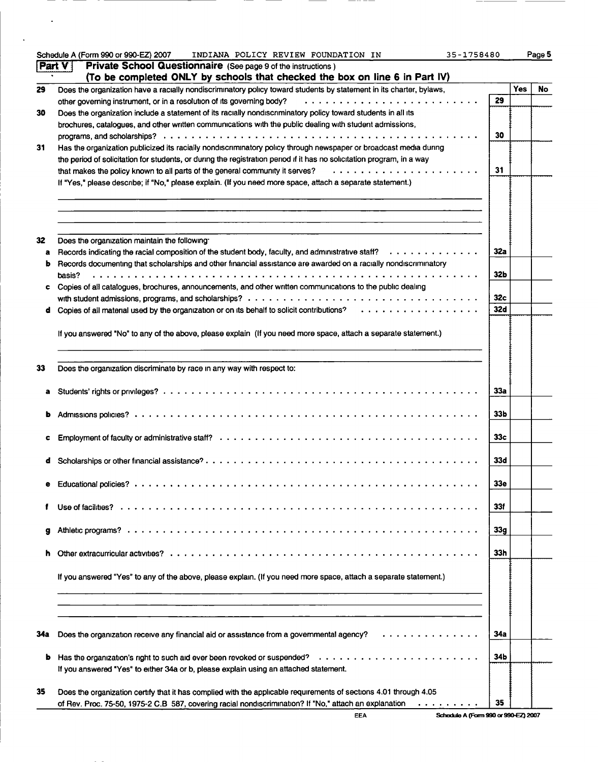|     | Schedule A (Form 990 or 990-EZ) 2007 INDIANA POLICY REVIEW FOUNDATION IN<br>35-1758480                                                                 |                 |            | Page 5 |
|-----|--------------------------------------------------------------------------------------------------------------------------------------------------------|-----------------|------------|--------|
|     | Part V<br>Private School Questionnaire (See page 9 of the instructions)<br>(To be completed ONLY by schools that checked the box on line 6 in Part IV) |                 |            |        |
| 29  | Does the organization have a racially nondiscriminatory policy toward students by statement in its charter, bylaws,                                    |                 | <b>Yes</b> | No     |
|     | other governing instrument, or in a resolution of its governing body?                                                                                  | 29              |            |        |
| 30  | Does the organization include a statement of its racially nondiscriminatory policy toward students in all its                                          |                 |            |        |
|     |                                                                                                                                                        |                 |            |        |
|     | brochures, catalogues, and other written communications with the public dealing with student admissions,                                               |                 |            |        |
|     |                                                                                                                                                        | 30              |            |        |
| 31  | Has the organization publicized its racially nondiscriminatory policy through newspaper or broadcast media during                                      |                 |            |        |
|     | the period of solicitation for students, or during the registration period if it has no solicitation program, in a way                                 |                 |            |        |
|     | that makes the policy known to all parts of the general community it serves?                                                                           | 31              |            |        |
|     | If "Yes," please describe; if "No," please explain. (If you need more space, attach a separate statement.)                                             |                 |            |        |
|     |                                                                                                                                                        |                 |            |        |
| 32  | Does the organization maintain the following                                                                                                           |                 |            |        |
|     | Records indicating the racial composition of the student body, faculty, and administrative staff? $\dots \dots \dots \dots$                            | 32a             |            |        |
| a   |                                                                                                                                                        |                 |            |        |
| b   | Records documenting that scholarships and other financial assistance are awarded on a racially nondiscriminatory                                       |                 |            |        |
|     | basis?                                                                                                                                                 | 32 <sub>b</sub> |            |        |
| c   | Copies of all catalogues, brochures, announcements, and other written communications to the public dealing                                             |                 |            |        |
|     |                                                                                                                                                        | 32 <sub>c</sub> |            |        |
| d   |                                                                                                                                                        | 32d             |            |        |
|     |                                                                                                                                                        |                 |            |        |
|     | If you answered "No" to any of the above, please explain (If you need more space, attach a separate statement.)                                        |                 |            |        |
|     |                                                                                                                                                        |                 |            |        |
|     |                                                                                                                                                        |                 |            |        |
|     |                                                                                                                                                        |                 |            |        |
| 33  | Does the organization discriminate by race in any way with respect to:                                                                                 |                 |            |        |
|     |                                                                                                                                                        | 33a             |            |        |
| ь   |                                                                                                                                                        | 33 <sub>b</sub> |            |        |
|     |                                                                                                                                                        |                 |            |        |
|     |                                                                                                                                                        | 33 <sub>c</sub> |            |        |
|     |                                                                                                                                                        |                 |            |        |
| đ   |                                                                                                                                                        | 33d             |            |        |
|     |                                                                                                                                                        | 33e             |            |        |
|     |                                                                                                                                                        |                 |            |        |
|     |                                                                                                                                                        | 33f             |            |        |
|     |                                                                                                                                                        |                 |            |        |
| g   |                                                                                                                                                        | 33g             |            |        |
|     |                                                                                                                                                        | 33h             |            |        |
|     | If you answered "Yes" to any of the above, please explain. (If you need more space, attach a separate statement.)                                      |                 |            |        |
|     |                                                                                                                                                        |                 |            |        |
|     |                                                                                                                                                        |                 |            |        |
|     |                                                                                                                                                        |                 |            |        |
| 34a | Does the organization receive any financial aid or assistance from a governmental agency?<br>.                                                         | 34a             |            |        |
|     |                                                                                                                                                        |                 |            |        |
| b   | Has the organization's right to such aid ever been revoked or suspended?                                                                               | 34 <sub>b</sub> |            |        |
|     | If you answered "Yes" to either 34a or b, please explain using an attached statement.                                                                  |                 |            |        |
|     |                                                                                                                                                        |                 |            |        |
| 35  | Does the organization certify that it has complied with the applicable requirements of sections 4.01 through 4.05                                      |                 |            |        |
|     | of Rev. Proc. 75-50, 1975-2 C.B 587, covering racial nondiscrimination? If "No," attach an explanation                                                 | 35              |            |        |
|     |                                                                                                                                                        |                 |            |        |

 $----$ 

--

 $\mathcal{L}^{\text{max}}_{\text{max}}$ 

 $\sim 100$  km s  $^{-1}$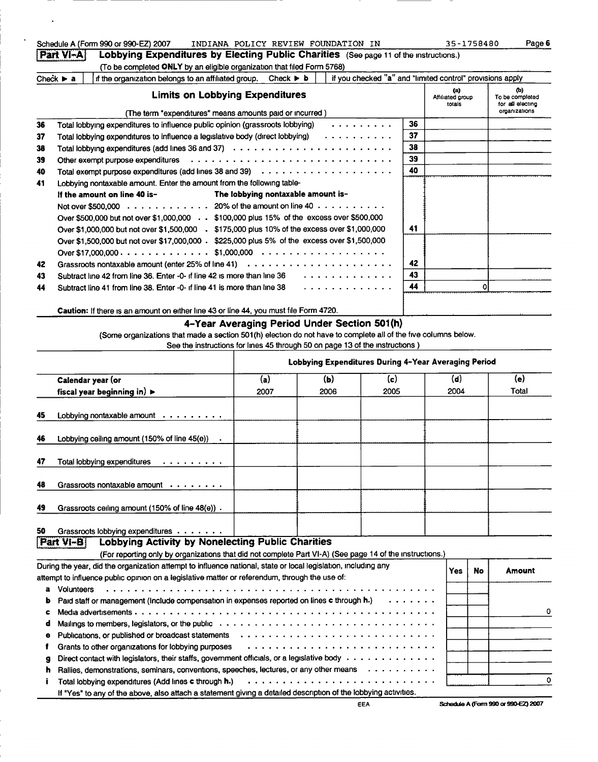|          | Schedule A (Form 990 or 990-EZ) 2007                                                                                                                                                           |                                    | INDIANA POLICY REVIEW FOUNDATION IN                  |            |          | 35-1758480                                                | Page 6                              |
|----------|------------------------------------------------------------------------------------------------------------------------------------------------------------------------------------------------|------------------------------------|------------------------------------------------------|------------|----------|-----------------------------------------------------------|-------------------------------------|
|          | Part VI-A<br>Lobbying Expenditures by Electing Public Charities (See page 11 of the instructions.)                                                                                             |                                    |                                                      |            |          |                                                           |                                     |
|          | (To be completed ONLY by an eligible organization that filed Form 5768)                                                                                                                        |                                    |                                                      |            |          |                                                           |                                     |
|          | Check $\blacktriangleright$ a<br>if the organization belongs to an affiliated group.                                                                                                           | Check $\triangleright$ <b>b</b>    |                                                      |            |          | if you checked "a" and "limited control" provisions apply | ወ)                                  |
|          | <b>Limits on Lobbying Expenditures</b>                                                                                                                                                         |                                    |                                                      |            |          | (n)<br>Affiliated group<br>totals                         | To be completed<br>for all electing |
|          | (The term "expenditures" means amounts paid or incurred)                                                                                                                                       |                                    |                                                      |            |          |                                                           | organizations                       |
| 36       | Total lobbying expenditures to influence public opinion (grassroots lobbying)                                                                                                                  |                                    |                                                      | . <i>.</i> | 36       |                                                           |                                     |
| 37       | Total lobbying expenditures to influence a legislative body (direct lobbying)                                                                                                                  |                                    | .                                                    |            | 37       |                                                           |                                     |
| 38       | Total lobbying expenditures (add lines 36 and 37) $\ldots \ldots \ldots \ldots \ldots \ldots \ldots \ldots \ldots$                                                                             |                                    |                                                      |            | 38<br>39 |                                                           |                                     |
| 39       |                                                                                                                                                                                                |                                    |                                                      |            | 40       |                                                           |                                     |
| 40<br>41 | Lobbying nontaxable amount. Enter the amount from the following table-                                                                                                                         |                                    |                                                      |            |          |                                                           |                                     |
|          | If the amount on line 40 is-                                                                                                                                                                   | The lobbying nontaxable amount is- |                                                      |            |          |                                                           |                                     |
|          | Not over \$500,000 20% of the amount on line 40                                                                                                                                                |                                    |                                                      |            |          |                                                           |                                     |
|          | Over \$500,000 but not over \$1,000,000 \$100,000 plus 15% of the excess over \$500,000                                                                                                        |                                    |                                                      |            |          |                                                           |                                     |
|          | Over \$1,000,000 but not over \$1,500,000 . \$175,000 plus 10% of the excess over \$1,000,000                                                                                                  |                                    |                                                      |            | 41       |                                                           |                                     |
|          | Over \$1,500,000 but not over \$17,000,000 . \$225,000 plus 5% of the excess over \$1,500,000                                                                                                  |                                    |                                                      |            |          |                                                           |                                     |
|          |                                                                                                                                                                                                |                                    |                                                      |            |          |                                                           |                                     |
| 42       |                                                                                                                                                                                                |                                    |                                                      |            | 42       |                                                           |                                     |
| 43       | Subtract line 42 from line 36. Enter -0- if line 42 is more than line 36                                                                                                                       |                                    | .                                                    |            | 43       |                                                           |                                     |
| 44       | Subtract line 41 from line 38. Enter -0- if line 41 is more than line 38                                                                                                                       |                                    | .                                                    |            | 44       |                                                           | ٥l                                  |
|          |                                                                                                                                                                                                |                                    |                                                      |            |          |                                                           |                                     |
|          | Caution: If there is an amount on either line 43 or line 44, you must file Form 4720.                                                                                                          |                                    |                                                      |            |          |                                                           |                                     |
|          |                                                                                                                                                                                                |                                    | 4-Year Averaging Period Under Section 501(h)         |            |          |                                                           |                                     |
|          | (Some organizations that made a section 501(h) election do not have to complete all of the five columns below.<br>See the instructions for lines 45 through 50 on page 13 of the instructions) |                                    |                                                      |            |          |                                                           |                                     |
|          |                                                                                                                                                                                                |                                    |                                                      |            |          |                                                           |                                     |
|          |                                                                                                                                                                                                |                                    | Lobbying Expenditures During 4-Year Averaging Period |            |          |                                                           |                                     |
|          | Calendar year (or                                                                                                                                                                              | (a)                                | (b)                                                  | (c)        |          | (d)                                                       | (e)                                 |
|          | fiscal year beginning in) $\blacktriangleright$                                                                                                                                                | 2007                               | 2006                                                 | 2005       |          | 2004                                                      | Total                               |
|          |                                                                                                                                                                                                |                                    |                                                      |            |          |                                                           |                                     |
| 45       | Lobbying nontaxable amount $\cdots$                                                                                                                                                            |                                    |                                                      |            |          |                                                           |                                     |
|          |                                                                                                                                                                                                |                                    |                                                      |            |          |                                                           |                                     |
| 46       | Lobbying ceiling amount $(150\% \text{ of line } 45(e))$ .                                                                                                                                     |                                    |                                                      |            |          |                                                           |                                     |
|          |                                                                                                                                                                                                |                                    |                                                      |            |          |                                                           |                                     |
| 47       | Total lobbving expenditures<br>.                                                                                                                                                               |                                    |                                                      |            |          |                                                           |                                     |
| 48       | Grassroots nontaxable amount                                                                                                                                                                   |                                    |                                                      |            |          |                                                           |                                     |
|          |                                                                                                                                                                                                |                                    |                                                      |            |          |                                                           |                                     |
| 49       | Grassroots ceiling amount (150% of line 48(e)).                                                                                                                                                |                                    |                                                      |            |          |                                                           |                                     |
|          |                                                                                                                                                                                                |                                    |                                                      |            |          |                                                           |                                     |
| 50       | Grassroots lobbying expenditures                                                                                                                                                               |                                    |                                                      |            |          |                                                           |                                     |
|          | <b>Lobbying Activity by Nonelecting Public Charities</b><br>Part VI-B                                                                                                                          |                                    |                                                      |            |          |                                                           |                                     |
|          | (For reporting only by organizations that did not complete Part VI-A) (See page 14 of the instructions.)                                                                                       |                                    |                                                      |            |          |                                                           |                                     |

 $\mathcal{A}$ 

 $\mathbf{v}$ 

|   | During the year, did the organization attempt to influence national, state or local legislation, including any                                                                                                                | Yes | No | Amount     |
|---|-------------------------------------------------------------------------------------------------------------------------------------------------------------------------------------------------------------------------------|-----|----|------------|
|   | attempt to influence public opinion on a legislative matter or referendum, through the use of:                                                                                                                                |     |    |            |
| a | Volunteers                                                                                                                                                                                                                    |     |    |            |
|   | <b>b</b> Paid staff or management (include compensation in expenses reported on lines c through $h$ .) $\ldots \ldots$                                                                                                        |     |    |            |
| с |                                                                                                                                                                                                                               |     |    | $^{\circ}$ |
| d |                                                                                                                                                                                                                               |     |    |            |
| ۰ | Publications, or published or broadcast statements enterstanding on the statement of the statements of the statements of the statements of the statements of the statement of the statement of the statement of the statement |     |    |            |
|   | Grants to other organizations for lobbying purposes                                                                                                                                                                           |     |    |            |
| g | Direct contact with legislators, their staffs, government officials, or a legislative body                                                                                                                                    |     |    |            |
| n | Rallies, demonstrations, seminars, conventions, speeches, lectures, or any other means                                                                                                                                        |     |    |            |
|   | Total lobbying expenditures (Add lines c through $h$ .) $\ldots \ldots \ldots \ldots \ldots \ldots \ldots \ldots \ldots \ldots \ldots$                                                                                        |     |    |            |
|   | If "Yes" to any of the above, also attach a statement giving a detailed description of the lobbying activities.                                                                                                               |     |    |            |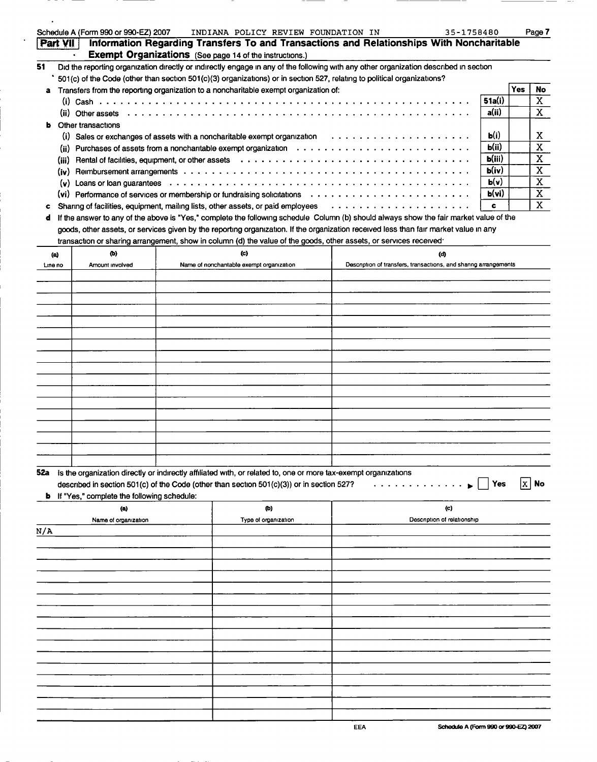|     |          | Schedule A (Form 990 or 990-EZ) 2007                                                                                                        | INDIANA POLICY REVIEW FOUNDATION IN      |                                                                                          | 35-1758480                                                       |              |     | Page 7                  |
|-----|----------|---------------------------------------------------------------------------------------------------------------------------------------------|------------------------------------------|------------------------------------------------------------------------------------------|------------------------------------------------------------------|--------------|-----|-------------------------|
|     | Part VII |                                                                                                                                             |                                          | Information Regarding Transfers To and Transactions and Relationships With Noncharitable |                                                                  |              |     |                         |
|     |          | <b>Exempt Organizations</b> (See page 14 of the instructions.)                                                                              |                                          |                                                                                          |                                                                  |              |     |                         |
| 51  |          | Did the reporting organization directly or indirectly engage in any of the following with any other organization described in section       |                                          |                                                                                          |                                                                  |              |     |                         |
|     |          | 501(c) of the Code (other than section 501(c)(3) organizations) or in section 527, relating to political organizations?                     |                                          |                                                                                          |                                                                  |              |     |                         |
|     |          | Transfers from the reporting organization to a noncharitable exempt organization of:                                                        |                                          |                                                                                          |                                                                  |              | Yes | No                      |
|     |          |                                                                                                                                             |                                          |                                                                                          |                                                                  | 51a(i)       |     | $\mathbf X$             |
|     |          |                                                                                                                                             |                                          |                                                                                          |                                                                  | a(ii)        |     | $\mathbf{X}$            |
| ь   |          | Other transactions                                                                                                                          |                                          |                                                                                          |                                                                  |              |     |                         |
|     |          |                                                                                                                                             |                                          |                                                                                          |                                                                  | <b>Ь</b> (і) |     | X                       |
|     |          | (ii) Purchases of assets from a noncharitable exempt organization $\cdots \cdots \cdots \cdots \cdots \cdots \cdots \cdots \cdots$          |                                          |                                                                                          |                                                                  | b(ii)        |     | $\overline{\mathbf{X}}$ |
|     | (iii)    | Rental of facilities, equipment, or other assets (all contacts of all contacts of activities, and the set of the set of the set of $\alpha$ |                                          |                                                                                          |                                                                  | b(iii)       |     | $\mathbf X$             |
|     |          |                                                                                                                                             |                                          |                                                                                          |                                                                  | b(iv)        |     | $\mathbf X$             |
|     |          |                                                                                                                                             |                                          |                                                                                          |                                                                  | b(v)         |     | $\mathbf X$             |
|     |          | (vi) Performance of services or membership or fundraising solicitations $\cdots \cdots \cdots \cdots \cdots \cdots \cdots$                  |                                          |                                                                                          |                                                                  | b(vi)        |     | $\mathbf X$             |
| c   |          | Sharing of facilities, equipment, mailing lists, other assets, or paid employees                                                            |                                          |                                                                                          |                                                                  | c            |     | $\overline{\mathbf{X}}$ |
| d   |          | If the answer to any of the above is "Yes," complete the following schedule Column (b) should always show the fair market value of the      |                                          |                                                                                          |                                                                  |              |     |                         |
|     |          | goods, other assets, or services given by the reporting organization. If the organization received less than fair market value in any       |                                          |                                                                                          |                                                                  |              |     |                         |
|     |          | transaction or sharing arrangement, show in column (d) the value of the goods, other assets, or services received                           |                                          |                                                                                          |                                                                  |              |     |                         |
|     | (a)      | <b>(b)</b>                                                                                                                                  | (c)                                      |                                                                                          | (d)                                                              |              |     |                         |
|     | Line no  | Amount involved                                                                                                                             | Name of nonchantable exempt organization |                                                                                          | Description of transfers, transactions, and sharing arrangements |              |     |                         |
|     |          |                                                                                                                                             |                                          |                                                                                          |                                                                  |              |     |                         |
|     |          |                                                                                                                                             |                                          |                                                                                          |                                                                  |              |     |                         |
|     |          |                                                                                                                                             |                                          |                                                                                          |                                                                  |              |     |                         |
|     |          |                                                                                                                                             |                                          |                                                                                          |                                                                  |              |     |                         |
|     |          |                                                                                                                                             |                                          |                                                                                          |                                                                  |              |     |                         |
|     |          |                                                                                                                                             |                                          |                                                                                          |                                                                  |              |     |                         |
|     |          |                                                                                                                                             |                                          |                                                                                          |                                                                  |              |     |                         |
|     |          |                                                                                                                                             |                                          |                                                                                          |                                                                  |              |     |                         |
|     |          |                                                                                                                                             |                                          |                                                                                          |                                                                  |              |     |                         |
|     |          |                                                                                                                                             |                                          |                                                                                          |                                                                  |              |     |                         |
|     |          |                                                                                                                                             |                                          |                                                                                          |                                                                  |              |     |                         |
|     |          |                                                                                                                                             |                                          |                                                                                          |                                                                  |              |     |                         |
|     |          |                                                                                                                                             |                                          |                                                                                          |                                                                  |              |     |                         |
|     |          |                                                                                                                                             |                                          |                                                                                          |                                                                  |              |     |                         |
|     |          |                                                                                                                                             |                                          |                                                                                          |                                                                  |              |     |                         |
|     |          |                                                                                                                                             |                                          |                                                                                          |                                                                  |              |     |                         |
|     |          |                                                                                                                                             |                                          |                                                                                          |                                                                  |              |     |                         |
|     |          | 52a Is the organization directly or indirectly affiliated with, or related to, one or more tax-exempt organizations                         |                                          |                                                                                          |                                                                  |              |     |                         |
|     |          | described in section 501(c) of the Code (other than section 501(c)(3)) or in section 527?                                                   |                                          |                                                                                          |                                                                  | Yes          | lx. | No                      |
|     |          | <b>b</b> If "Yes," complete the following schedule:                                                                                         |                                          |                                                                                          |                                                                  |              |     |                         |
|     |          | (a)                                                                                                                                         | (b)                                      |                                                                                          | (c)                                                              |              |     |                         |
|     |          | Name of organization                                                                                                                        | Type of organization                     |                                                                                          | Description of relationship                                      |              |     |                         |
| N/A |          |                                                                                                                                             |                                          |                                                                                          |                                                                  |              |     |                         |
|     |          |                                                                                                                                             |                                          |                                                                                          |                                                                  |              |     |                         |
|     |          |                                                                                                                                             |                                          |                                                                                          |                                                                  |              |     |                         |
|     |          |                                                                                                                                             |                                          |                                                                                          |                                                                  |              |     |                         |
|     |          |                                                                                                                                             |                                          |                                                                                          |                                                                  |              |     |                         |
|     |          |                                                                                                                                             |                                          |                                                                                          |                                                                  |              |     |                         |
|     |          |                                                                                                                                             |                                          |                                                                                          |                                                                  |              |     |                         |
|     |          |                                                                                                                                             |                                          |                                                                                          |                                                                  |              |     |                         |
|     |          |                                                                                                                                             |                                          |                                                                                          |                                                                  |              |     |                         |
|     |          |                                                                                                                                             |                                          |                                                                                          |                                                                  |              |     |                         |
|     |          |                                                                                                                                             |                                          |                                                                                          |                                                                  |              |     |                         |
|     |          |                                                                                                                                             |                                          |                                                                                          |                                                                  |              |     |                         |
|     |          |                                                                                                                                             |                                          |                                                                                          |                                                                  |              |     |                         |
|     |          |                                                                                                                                             |                                          |                                                                                          |                                                                  |              |     |                         |
|     |          |                                                                                                                                             |                                          |                                                                                          |                                                                  |              |     |                         |
|     |          |                                                                                                                                             |                                          |                                                                                          |                                                                  |              |     |                         |
|     |          |                                                                                                                                             |                                          |                                                                                          |                                                                  |              |     |                         |

 $\langle \cdot, \cdot \rangle$ 

 $\mathcal{L}^{\mathcal{L}}$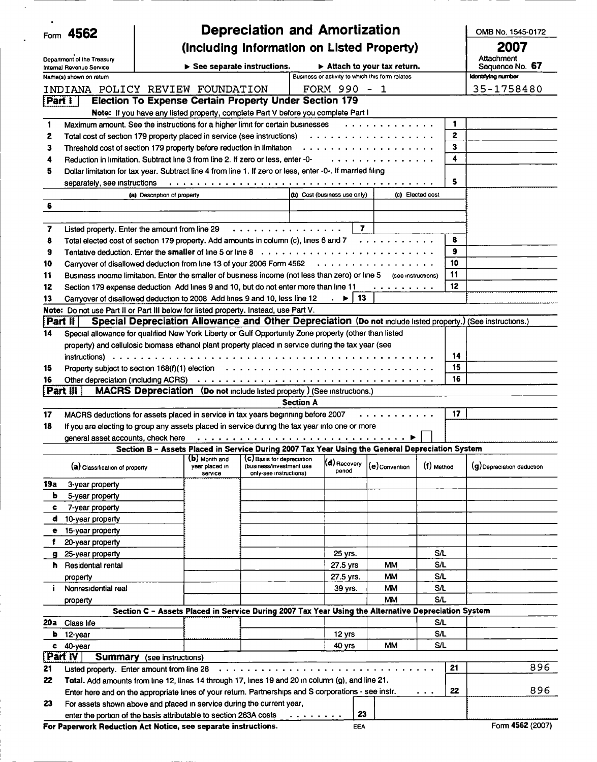|             | Form 4562                                                               |                                   |                                             | <b>Depreciation and Amortization</b>                                                                                                 |                              |                                                 |                  |    | OMB No. 1545-0172             |  |
|-------------|-------------------------------------------------------------------------|-----------------------------------|---------------------------------------------|--------------------------------------------------------------------------------------------------------------------------------------|------------------------------|-------------------------------------------------|------------------|----|-------------------------------|--|
|             | Department of the Treasury                                              |                                   | (Including Information on Listed Property)  |                                                                                                                                      |                              |                                                 |                  |    |                               |  |
|             | Internal Revenue Service                                                |                                   | $\triangleright$ See separate instructions. |                                                                                                                                      |                              | $\triangleright$ Attach to your tax return.     |                  |    | Attachment<br>Sequence No. 67 |  |
|             | Name(s) shown on return                                                 |                                   |                                             |                                                                                                                                      |                              | Business or activity to which this form relates |                  |    | Identifying number            |  |
|             | INDIANA POLICY REVIEW FOUNDATION                                        |                                   |                                             |                                                                                                                                      | FORM 990 - 1                 |                                                 |                  |    | 35-1758480                    |  |
| [Part 1]    |                                                                         |                                   |                                             | <b>Election To Expense Certain Property Under Section 179</b>                                                                        |                              |                                                 |                  |    |                               |  |
|             |                                                                         |                                   |                                             | Note: If you have any listed property, complete Part V before you complete Part I                                                    |                              |                                                 |                  |    |                               |  |
| 1           |                                                                         |                                   |                                             | Maximum amount. See the instructions for a higher limit for certain businesses                                                       |                              | .                                               |                  | 1  |                               |  |
| 2           | Total cost of section 179 property placed in service (see instructions) |                                   |                                             |                                                                                                                                      |                              | .                                               |                  | 2  |                               |  |
| 3           | Threshold cost of section 179 property before reduction in limitation   |                                   |                                             |                                                                                                                                      |                              | .                                               |                  | 3  |                               |  |
| 4           |                                                                         |                                   |                                             | Reduction in limitation. Subtract line 3 from line 2. If zero or less, enter -0-                                                     |                              | .                                               |                  | 4  |                               |  |
| 5           |                                                                         |                                   |                                             | Dollar limitation for tax year. Subtract line 4 from line 1. If zero or less, enter -0-. If married filing                           |                              |                                                 |                  |    |                               |  |
|             | separately, see instructions                                            |                                   |                                             |                                                                                                                                      |                              |                                                 |                  | 5  |                               |  |
|             |                                                                         | (a) Description of property       |                                             |                                                                                                                                      | (b) Cost (business use only) |                                                 | (c) Elected cost |    |                               |  |
| 6           |                                                                         |                                   |                                             |                                                                                                                                      |                              |                                                 |                  |    |                               |  |
|             |                                                                         |                                   |                                             |                                                                                                                                      |                              |                                                 |                  |    |                               |  |
| 7           | Listed property. Enter the amount from line 29                          |                                   |                                             | .                                                                                                                                    | 7                            |                                                 |                  |    |                               |  |
| 8           |                                                                         |                                   |                                             | Total elected cost of section 179 property. Add amounts in column (c), lines 6 and 7                                                 |                              | .                                               |                  | 8  |                               |  |
| 9           | Tentative deduction. Enter the smaller of line 5 or line 8              |                                   |                                             |                                                                                                                                      |                              |                                                 |                  | 9  |                               |  |
| 10          | Carryover of disallowed deduction from line 13 of your 2006 Form 4562   |                                   |                                             |                                                                                                                                      |                              | .                                               |                  | 10 |                               |  |
| 11          |                                                                         |                                   |                                             | Business income limitation. Enter the smaller of business income (not less than zero) or line 5 (see instructions)                   |                              |                                                 |                  | 11 |                               |  |
| 12          |                                                                         |                                   |                                             | Section 179 expense deduction Add lines 9 and 10, but do not enter more than line 11                                                 |                              | .                                               |                  | 12 |                               |  |
| 13          |                                                                         |                                   |                                             | Carryover of disallowed deduction to 2008 Add lines 9 and 10, less line 12                                                           | 13<br>▶                      |                                                 |                  |    |                               |  |
|             |                                                                         |                                   |                                             | Note: Do not use Part II or Part III below for listed property. Instead, use Part V.                                                 |                              |                                                 |                  |    |                               |  |
| i Part II i |                                                                         |                                   |                                             | Special Depreciation Allowance and Other Depreciation (Do not include listed property.) (See instructions.)                          |                              |                                                 |                  |    |                               |  |
| 14          |                                                                         |                                   |                                             | Special allowance for qualified New York Liberty or Gulf Opportunity Zone property (other than listed                                |                              |                                                 |                  |    |                               |  |
|             |                                                                         |                                   |                                             | property) and cellulosic biomass ethanol plant property placed in service during the tax year (see                                   |                              |                                                 |                  |    |                               |  |
|             |                                                                         |                                   |                                             |                                                                                                                                      |                              |                                                 |                  | 14 |                               |  |
| 15          |                                                                         |                                   |                                             | Property subject to section 168(f)(1) election $\ldots \ldots \ldots \ldots \ldots \ldots \ldots \ldots \ldots \ldots \ldots \ldots$ |                              |                                                 |                  | 15 |                               |  |
| 16          |                                                                         |                                   |                                             | Other depreciation (including ACRS) $\ldots \ldots \ldots \ldots \ldots \ldots \ldots \ldots \ldots \ldots \ldots \ldots \ldots$     |                              |                                                 |                  | 16 |                               |  |
| Part        |                                                                         |                                   |                                             | <b>MACRS Depreciation</b> (Do not include listed property) (See instructions.)                                                       |                              |                                                 |                  |    |                               |  |
|             |                                                                         |                                   |                                             | <b>Section A</b>                                                                                                                     |                              |                                                 |                  |    |                               |  |
| 17          |                                                                         |                                   |                                             | MACRS deductions for assets placed in service in tax years beginning before 2007                                                     |                              |                                                 |                  | 17 |                               |  |
| 18          |                                                                         |                                   |                                             | If you are electing to group any assets placed in service during the tax year into one or more                                       |                              |                                                 |                  |    |                               |  |
|             | general asset accounts, check here                                      |                                   |                                             |                                                                                                                                      |                              |                                                 |                  |    |                               |  |
|             |                                                                         |                                   |                                             | Section B - Assets Placed in Service During 2007 Tax Year Using the General Depreciation System                                      |                              |                                                 |                  |    |                               |  |
|             | (a) Classification of property                                          |                                   | (b) Month and<br>vear placed in             | (C) Basis for depreciation<br>(business/investment use                                                                               | $(d)$ Recovery               | (e) Convention                                  | (f) Method       |    | (g) Depreciation deduction    |  |
|             |                                                                         |                                   | service                                     | only-see instructions)                                                                                                               | penod                        |                                                 |                  |    |                               |  |
| 19a         | 3-year property                                                         |                                   |                                             |                                                                                                                                      |                              |                                                 |                  |    |                               |  |
| ь           | 5-year property                                                         |                                   |                                             |                                                                                                                                      |                              |                                                 |                  |    |                               |  |
| c           | 7-year property                                                         |                                   |                                             |                                                                                                                                      |                              |                                                 |                  |    |                               |  |
| d           | 10-year property                                                        |                                   |                                             |                                                                                                                                      |                              |                                                 |                  |    |                               |  |
| е           | 15-year property                                                        |                                   |                                             |                                                                                                                                      |                              |                                                 |                  |    |                               |  |
| f           | 20-year property                                                        |                                   |                                             |                                                                                                                                      |                              |                                                 |                  |    |                               |  |
| g           | 25-year property                                                        |                                   |                                             |                                                                                                                                      | 25 yrs.                      |                                                 | S/L              |    |                               |  |
| h.          | Residential rental                                                      |                                   |                                             |                                                                                                                                      | 27.5 yrs                     | MМ                                              | S/L              |    |                               |  |
|             | property                                                                |                                   |                                             |                                                                                                                                      | 27.5 yrs.                    | MМ                                              | S/L              |    |                               |  |
| Ť.          | Nonresidential real                                                     |                                   |                                             |                                                                                                                                      | 39 yrs.                      | MМ                                              | SΛ               |    |                               |  |
|             | property                                                                |                                   |                                             |                                                                                                                                      |                              | MМ                                              | S/L              |    |                               |  |
|             |                                                                         |                                   |                                             | Section C - Assets Placed in Service During 2007 Tax Year Using the Alternative Depreciation System                                  |                              |                                                 |                  |    |                               |  |
| 20a -       | Class life                                                              |                                   |                                             |                                                                                                                                      |                              |                                                 | SЛ               |    |                               |  |
| ь           | 12-year                                                                 |                                   |                                             |                                                                                                                                      | 12 yrs                       |                                                 | <b>S/L</b>       |    |                               |  |
| c           | 40-year                                                                 |                                   |                                             |                                                                                                                                      | 40 yrs                       | MМ                                              | <b>S/L</b>       |    |                               |  |
| Part IV     |                                                                         | <b>Summary</b> (see instructions) |                                             |                                                                                                                                      |                              |                                                 |                  |    |                               |  |
| 21          | Listed property. Enter amount from line 28                              |                                   |                                             | .                                                                                                                                    |                              |                                                 |                  | 21 | 896                           |  |
| 22          |                                                                         |                                   |                                             | Total. Add amounts from line 12, lines 14 through 17, lines 19 and 20 in column (g), and line 21.                                    |                              |                                                 |                  |    |                               |  |
|             |                                                                         |                                   |                                             | Enter here and on the appropriate lines of your return. Partnerships and S corporations - see instr.                                 |                              |                                                 | $\sim$ 100 $\pm$ | 22 | 896                           |  |
| 23          | For assets shown above and placed in service during the current year,   |                                   |                                             |                                                                                                                                      |                              |                                                 |                  |    |                               |  |
|             | enter the portion of the basis attributable to section 263A costs       |                                   |                                             | .                                                                                                                                    | 23                           |                                                 |                  |    |                               |  |
|             | For Paperwork Reduction Act Notice, see separate instructions.          |                                   |                                             |                                                                                                                                      | <b>EEA</b>                   |                                                 |                  |    | Form 4562 (2007)              |  |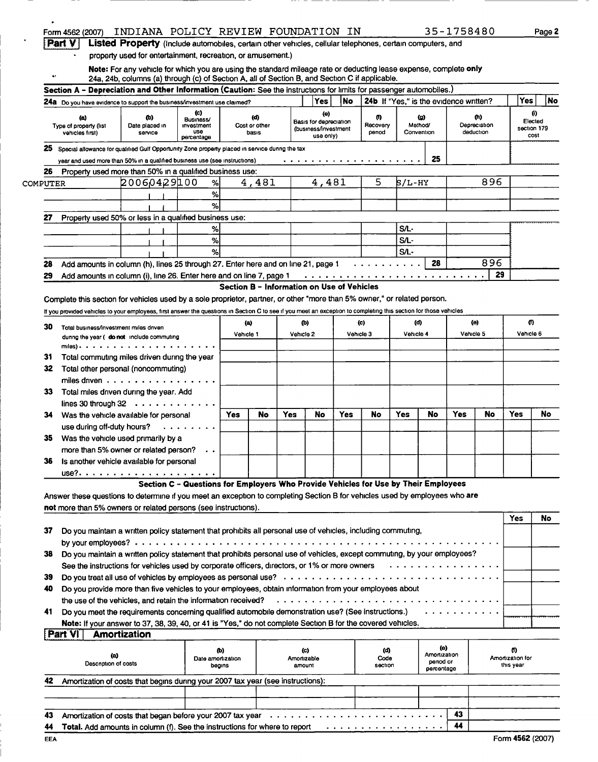|                 | Form 4562 (2007)                                                                                                                                                  |                                 | INDIANA POLICY REVIEW FOUNDATION IN                                                                                                                                                                                 |        |                                            |           |                                                |           |                        |                                        |                     | 35-1758480 |                                  |                               | Page 2                         |
|-----------------|-------------------------------------------------------------------------------------------------------------------------------------------------------------------|---------------------------------|---------------------------------------------------------------------------------------------------------------------------------------------------------------------------------------------------------------------|--------|--------------------------------------------|-----------|------------------------------------------------|-----------|------------------------|----------------------------------------|---------------------|------------|----------------------------------|-------------------------------|--------------------------------|
|                 | <b>Part V</b>                                                                                                                                                     |                                 | Listed Property (include automobiles, certain other vehicles, cellular telephones, certain computers, and                                                                                                           |        |                                            |           |                                                |           |                        |                                        |                     |            |                                  |                               |                                |
|                 |                                                                                                                                                                   |                                 | property used for entertainment, recreation, or amusement.)                                                                                                                                                         |        |                                            |           |                                                |           |                        |                                        |                     |            |                                  |                               |                                |
|                 |                                                                                                                                                                   |                                 | Note: For any vehicle for which you are using the standard mileage rate or deducting lease expense, complete only<br>24a, 24b, columns (a) through (c) of Section A, all of Section B, and Section C if applicable. |        |                                            |           |                                                |           |                        |                                        |                     |            |                                  |                               |                                |
|                 | Section A - Depreciation and Other Information (Caution: See the instructions for limits for passenger automobiles.)                                              |                                 |                                                                                                                                                                                                                     |        |                                            |           |                                                |           |                        |                                        |                     |            |                                  |                               |                                |
|                 | 24a Do you have evidence to support the business/investment use claimed?                                                                                          |                                 |                                                                                                                                                                                                                     |        |                                            |           | Yes                                            | No        |                        | 24b If "Yes," is the evidence written? |                     |            |                                  | <b>Yes</b>                    | No                             |
|                 |                                                                                                                                                                   |                                 | $\left( c\right)$                                                                                                                                                                                                   |        |                                            |           | (e)                                            |           |                        |                                        |                     |            |                                  |                               | $\boldsymbol{\theta}$          |
|                 | (a)<br>Type of property (list<br>vehicles first)                                                                                                                  | Ф)<br>Date placed in<br>service | Business/<br>investment<br><b>USG</b>                                                                                                                                                                               |        | (d)<br>Cost or other<br>basis              |           | Basis for depreciation<br>(business/investment |           | ω<br>Recovery<br>penod | Method/<br>Convention                  | (g)                 |            | (h)<br>Depreciation<br>deduction |                               | Elected<br>section 179<br>cost |
|                 |                                                                                                                                                                   |                                 | percentage                                                                                                                                                                                                          |        |                                            |           | use only)                                      |           |                        |                                        |                     |            |                                  |                               |                                |
| 25              | Special allowance for qualified Gulf Opportunity Zone property placed in service during the tax                                                                   |                                 |                                                                                                                                                                                                                     |        |                                            |           |                                                |           |                        |                                        | 25                  |            |                                  |                               |                                |
|                 | year and used more than 50% in a qualified business use (see instructions)                                                                                        |                                 |                                                                                                                                                                                                                     |        |                                            |           |                                                |           | .                      |                                        |                     |            |                                  |                               |                                |
| 26              | Property used more than 50% in a qualified business use:                                                                                                          | 20060429100                     |                                                                                                                                                                                                                     |        | 4,481                                      |           | 4,481                                          |           | 5                      |                                        |                     |            | 896                              |                               |                                |
| <b>COMPUTER</b> |                                                                                                                                                                   |                                 | %                                                                                                                                                                                                                   |        |                                            |           |                                                |           |                        | 5/L-HY                                 |                     |            |                                  |                               |                                |
|                 |                                                                                                                                                                   |                                 | ℅                                                                                                                                                                                                                   |        |                                            |           |                                                |           |                        |                                        |                     |            |                                  |                               |                                |
|                 |                                                                                                                                                                   |                                 | %                                                                                                                                                                                                                   |        |                                            |           |                                                |           |                        |                                        |                     |            |                                  |                               |                                |
| 27              | Property used 50% or less in a qualified business use:                                                                                                            |                                 |                                                                                                                                                                                                                     |        |                                            |           |                                                |           |                        |                                        |                     |            |                                  |                               |                                |
|                 |                                                                                                                                                                   |                                 | %                                                                                                                                                                                                                   |        |                                            |           |                                                |           |                        | S/L                                    |                     |            |                                  |                               |                                |
|                 |                                                                                                                                                                   |                                 | $\%$                                                                                                                                                                                                                |        |                                            |           |                                                |           |                        | S/L                                    |                     |            |                                  |                               |                                |
|                 |                                                                                                                                                                   |                                 | %                                                                                                                                                                                                                   |        |                                            |           |                                                |           |                        | S/L-                                   |                     |            |                                  |                               |                                |
| 28              | Add amounts in column (h), lines 25 through 27. Enter here and on line 21, page 1                                                                                 |                                 |                                                                                                                                                                                                                     |        |                                            |           |                                                |           | .                      |                                        | 28                  |            | 896                              |                               |                                |
| 29              | Add amounts in column (i), line 26. Enter here and on line 7, page 1                                                                                              |                                 |                                                                                                                                                                                                                     |        |                                            |           |                                                |           |                        |                                        |                     |            | 29                               |                               |                                |
|                 |                                                                                                                                                                   |                                 |                                                                                                                                                                                                                     |        | Section B - Information on Use of Vehicles |           |                                                |           |                        |                                        |                     |            |                                  |                               |                                |
|                 | Complete this section for vehicles used by a sole proprietor, partner, or other "more than 5% owner," or related person.                                          |                                 |                                                                                                                                                                                                                     |        |                                            |           |                                                |           |                        |                                        |                     |            |                                  |                               |                                |
|                 | If you provided vehicles to your employees, first answer the questions in Section C to see if you meet an exception to completing this section for those vehicles |                                 |                                                                                                                                                                                                                     |        |                                            |           |                                                |           |                        |                                        |                     |            |                                  |                               |                                |
| 30              | Total business/investment miles driven                                                                                                                            |                                 |                                                                                                                                                                                                                     |        | (a)                                        |           | ው)                                             |           | (c)                    | (d)                                    |                     |            | (e)                              |                               | 0                              |
|                 | dunng the year ( do not include commuting                                                                                                                         |                                 |                                                                                                                                                                                                                     |        | Vehicle 1                                  | Vehicle 2 |                                                | Vehicle 3 |                        | Vehicle 4                              |                     |            | Vehicle 5                        | Vehicle 6                     |                                |
|                 | miles).                                                                                                                                                           |                                 |                                                                                                                                                                                                                     |        |                                            |           |                                                |           |                        |                                        |                     |            |                                  |                               |                                |
| 31              | Total commuting miles driven during the year                                                                                                                      |                                 |                                                                                                                                                                                                                     |        |                                            |           |                                                |           |                        |                                        |                     |            |                                  |                               |                                |
| 32              | Total other personal (noncommuting)                                                                                                                               |                                 |                                                                                                                                                                                                                     |        |                                            |           |                                                |           |                        |                                        |                     |            |                                  |                               |                                |
|                 | miles driven $\ldots \ldots \ldots \ldots \ldots$                                                                                                                 |                                 |                                                                                                                                                                                                                     |        |                                            |           |                                                |           |                        |                                        |                     |            |                                  |                               |                                |
| 33              | Total miles driven during the year. Add                                                                                                                           |                                 |                                                                                                                                                                                                                     |        |                                            |           |                                                |           |                        |                                        |                     |            |                                  |                               |                                |
|                 | lines 30 through $32 \cdot \cdot \cdot \cdot \cdot \cdot \cdot \cdot \cdot \cdot$                                                                                 |                                 |                                                                                                                                                                                                                     |        |                                            |           |                                                |           |                        |                                        |                     |            |                                  |                               |                                |
| 34              | Was the vehicle available for personal                                                                                                                            |                                 |                                                                                                                                                                                                                     | Yes    | No                                         | Yes       | No                                             | Yes       | No                     | Yes                                    | No                  | Yes        | No                               | Yes                           | No                             |
|                 | use during off-duty hours?                                                                                                                                        |                                 | .                                                                                                                                                                                                                   |        |                                            |           |                                                |           |                        |                                        |                     |            |                                  |                               |                                |
|                 |                                                                                                                                                                   |                                 |                                                                                                                                                                                                                     |        |                                            |           |                                                |           |                        |                                        |                     |            |                                  |                               |                                |
| 35              | Was the vehicle used primarily by a                                                                                                                               |                                 |                                                                                                                                                                                                                     |        |                                            |           |                                                |           |                        |                                        |                     |            |                                  |                               |                                |
|                 | more than 5% owner or related person?                                                                                                                             |                                 |                                                                                                                                                                                                                     |        |                                            |           |                                                |           |                        |                                        |                     |            |                                  |                               |                                |
| 36              | Is another vehicle available for personal                                                                                                                         |                                 |                                                                                                                                                                                                                     |        |                                            |           |                                                |           |                        |                                        |                     |            |                                  |                               |                                |
|                 |                                                                                                                                                                   |                                 |                                                                                                                                                                                                                     |        |                                            |           |                                                |           |                        |                                        |                     |            |                                  |                               |                                |
|                 |                                                                                                                                                                   |                                 | Section C - Questions for Employers Who Provide Vehicles for Use by Their Employees                                                                                                                                 |        |                                            |           |                                                |           |                        |                                        |                     |            |                                  |                               |                                |
|                 | Answer these questions to determine if you meet an exception to completing Section B for vehicles used by employees who are                                       |                                 |                                                                                                                                                                                                                     |        |                                            |           |                                                |           |                        |                                        |                     |            |                                  |                               |                                |
|                 | not more than 5% owners or related persons (see instructions).                                                                                                    |                                 |                                                                                                                                                                                                                     |        |                                            |           |                                                |           |                        |                                        |                     |            |                                  |                               |                                |
|                 |                                                                                                                                                                   |                                 |                                                                                                                                                                                                                     |        |                                            |           |                                                |           |                        |                                        |                     |            |                                  | Yes                           | No                             |
| 37              | Do you maintain a written policy statement that prohibits all personal use of vehicles, including commuting,                                                      |                                 |                                                                                                                                                                                                                     |        |                                            |           |                                                |           |                        |                                        |                     |            |                                  |                               |                                |
|                 |                                                                                                                                                                   |                                 |                                                                                                                                                                                                                     |        |                                            |           |                                                |           |                        |                                        |                     |            |                                  |                               |                                |
| 38              | Do you maintain a written policy statement that prohibits personal use of vehicles, except commuting, by your employees?                                          |                                 |                                                                                                                                                                                                                     |        |                                            |           |                                                |           |                        |                                        |                     |            |                                  |                               |                                |
|                 | See the instructions for vehicles used by corporate officers, directors, or 1% or more owners $\cdots \cdots \cdots \cdots$                                       |                                 |                                                                                                                                                                                                                     |        |                                            |           |                                                |           |                        |                                        |                     |            |                                  |                               |                                |
| 39              |                                                                                                                                                                   |                                 |                                                                                                                                                                                                                     |        |                                            |           |                                                |           |                        |                                        |                     |            |                                  |                               |                                |
| 40              | Do you provide more than five vehicles to your employees, obtain information from your employees about                                                            |                                 |                                                                                                                                                                                                                     |        |                                            |           |                                                |           |                        |                                        |                     |            |                                  |                               |                                |
|                 | the use of the vehicles, and retain the information received?                                                                                                     |                                 |                                                                                                                                                                                                                     |        |                                            |           |                                                |           |                        |                                        |                     |            |                                  |                               |                                |
| 41              | Do you meet the requirements concerning qualified automobile demonstration use? (See instructions.)                                                               |                                 |                                                                                                                                                                                                                     |        |                                            |           |                                                |           |                        |                                        |                     |            |                                  |                               |                                |
|                 | Note: If your answer to 37, 38, 39, 40, or 41 is "Yes," do not complete Section B for the covered vehicles.                                                       |                                 |                                                                                                                                                                                                                     |        |                                            |           |                                                |           |                        |                                        |                     |            |                                  |                               |                                |
|                 | Part VI                                                                                                                                                           | Amortization                    |                                                                                                                                                                                                                     |        |                                            |           |                                                |           |                        |                                        |                     |            |                                  |                               |                                |
|                 |                                                                                                                                                                   |                                 |                                                                                                                                                                                                                     |        |                                            |           |                                                |           |                        |                                        |                     |            |                                  |                               |                                |
|                 | (a)                                                                                                                                                               |                                 |                                                                                                                                                                                                                     | (b)    |                                            |           | (c)                                            |           | (ර)                    |                                        | (e)<br>Amortization |            |                                  | 0                             |                                |
|                 | Description of costs                                                                                                                                              |                                 | Date amortization                                                                                                                                                                                                   | begins |                                            |           | Amortizable<br>amount                          |           | Code<br>section        |                                        | penod or            |            |                                  | Amortization for<br>this year |                                |
|                 |                                                                                                                                                                   |                                 |                                                                                                                                                                                                                     |        |                                            |           |                                                |           |                        |                                        | percentage          |            |                                  |                               |                                |
| 42              | Amortization of costs that begins during your 2007 tax year (see instructions):                                                                                   |                                 |                                                                                                                                                                                                                     |        |                                            |           |                                                |           |                        |                                        |                     |            |                                  |                               |                                |
|                 |                                                                                                                                                                   |                                 |                                                                                                                                                                                                                     |        |                                            |           |                                                |           |                        |                                        |                     |            |                                  |                               |                                |
|                 |                                                                                                                                                                   |                                 |                                                                                                                                                                                                                     |        |                                            |           |                                                |           |                        |                                        |                     |            |                                  |                               |                                |

|     | 44 Total. Add amounts in column (f). See the instructions for where to report |                  |
|-----|-------------------------------------------------------------------------------|------------------|
| EEA |                                                                               | Form 4562 (2007) |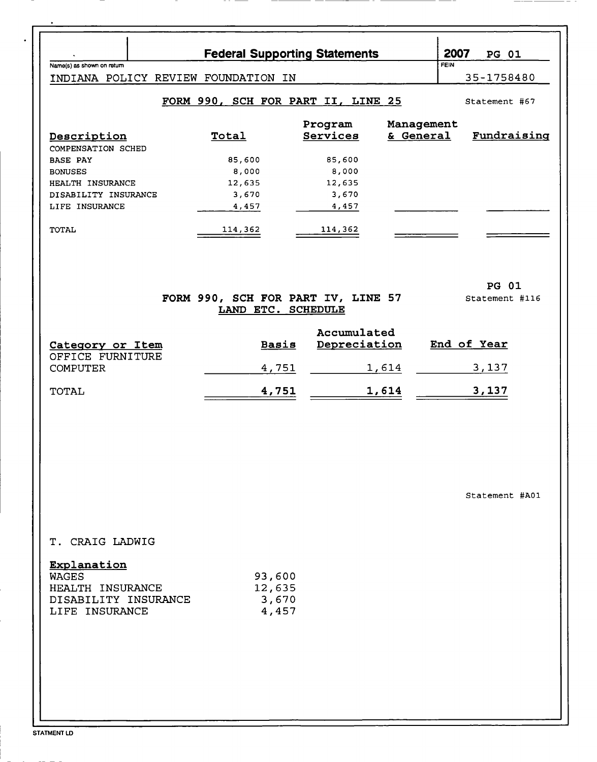| Name(s) as shown on return                                                                | <b>Federal Supporting Statements</b>                     |                             |                         | 2007<br><b>PG 01</b><br><b>FEIN</b> |
|-------------------------------------------------------------------------------------------|----------------------------------------------------------|-----------------------------|-------------------------|-------------------------------------|
| INDIANA POLICY REVIEW FOUNDATION IN                                                       |                                                          |                             |                         | 35-1758480                          |
|                                                                                           | FORM 990, SCH FOR PART II, LINE 25                       |                             |                         | Statement #67                       |
| Description<br>COMPENSATION SCHED                                                         | Total                                                    | Program<br>Services         | Management<br>& General | Fundraising                         |
| <b>BASE PAY</b>                                                                           | 85,600                                                   | 85,600                      |                         |                                     |
| <b>BONUSES</b><br>HEALTH INSURANCE                                                        | 8,000<br>12,635                                          | 8,000<br>12,635             |                         |                                     |
| DISABILITY INSURANCE                                                                      | 3,670                                                    | 3,670                       |                         |                                     |
| LIFE INSURANCE                                                                            | 4,457                                                    | 4,457                       |                         |                                     |
| TOTAL                                                                                     | 114,362                                                  | 114,362                     |                         |                                     |
|                                                                                           | FORM 990, SCH FOR PART IV, LINE 57<br>LAND ETC. SCHEDULE |                             |                         | <b>PG 01</b><br>Statement #116      |
|                                                                                           | <b>Basis</b>                                             | Accumulated<br>Depreciation |                         | End of Year                         |
| Category or Item<br>OFFICE FURNITURE                                                      |                                                          |                             |                         |                                     |
| <b>COMPUTER</b>                                                                           | 4,751                                                    |                             | 1,614                   | 3,137                               |
| TOTAL                                                                                     | 4,751                                                    |                             | <u>1,614</u>            | <u>3,137</u>                        |
|                                                                                           |                                                          |                             |                         | Statement #A01                      |
|                                                                                           |                                                          |                             |                         |                                     |
| T. CRAIG LADWIG                                                                           |                                                          |                             |                         |                                     |
| Explanation<br><b>WAGES</b><br>HEALTH INSURANCE<br>DISABILITY INSURANCE<br>LIFE INSURANCE | 93,600<br>12,635<br>3,670<br>4,457                       |                             |                         |                                     |
|                                                                                           |                                                          |                             |                         |                                     |

STATMENT LD